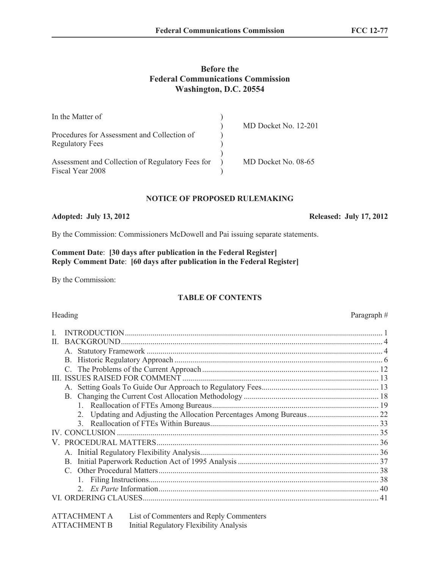# **Before the Federal Communications Commission Washington, D.C. 20554**

| In the Matter of                                 |                      |
|--------------------------------------------------|----------------------|
|                                                  | MD Docket No. 12-201 |
| Procedures for Assessment and Collection of      |                      |
| <b>Regulatory Fees</b>                           |                      |
|                                                  |                      |
| Assessment and Collection of Regulatory Fees for | MD Docket No. 08-65  |
| Fiscal Year 2008                                 |                      |

## **NOTICE OF PROPOSED RULEMAKING**

## **Adopted: July 13, 2012 Released: July 17, 2012**

By the Commission: Commissioners McDowell and Pai issuing separate statements.

### **Comment Date**: **[30 days after publication in the Federal Register] Reply Comment Date**: **[60 days after publication in the Federal Register]**

By the Commission:

# **TABLE OF CONTENTS**

### Heading Paragraph #

| П. |    |  |
|----|----|--|
|    |    |  |
|    |    |  |
|    |    |  |
|    |    |  |
|    |    |  |
|    |    |  |
|    |    |  |
|    |    |  |
|    |    |  |
|    |    |  |
|    |    |  |
|    |    |  |
|    | B. |  |
|    |    |  |
|    |    |  |
|    |    |  |
|    |    |  |

| <b>ATTACHMENT A</b> | List of Commenters and Reply Commenters |
|---------------------|-----------------------------------------|
| <b>ATTACHMENT B</b> | Initial Regulatory Flexibility Analysis |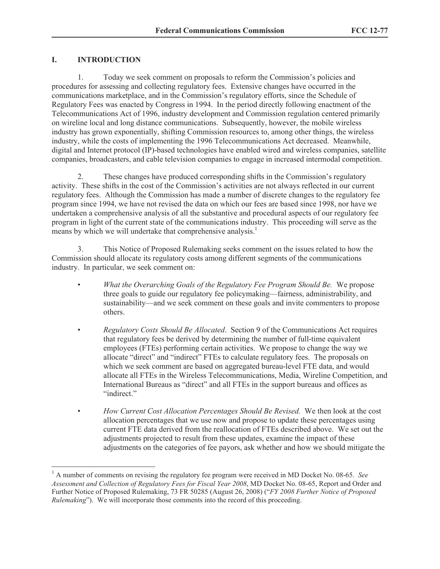# **I. INTRODUCTION**

 $\overline{a}$ 

1. Today we seek comment on proposals to reform the Commission's policies and procedures for assessing and collecting regulatory fees. Extensive changes have occurred in the communications marketplace, and in the Commission's regulatory efforts, since the Schedule of Regulatory Fees was enacted by Congress in 1994. In the period directly following enactment of the Telecommunications Act of 1996, industry development and Commission regulation centered primarily on wireline local and long distance communications. Subsequently, however, the mobile wireless industry has grown exponentially, shifting Commission resources to, among other things, the wireless industry, while the costs of implementing the 1996 Telecommunications Act decreased. Meanwhile, digital and Internet protocol (IP)-based technologies have enabled wired and wireless companies, satellite companies, broadcasters, and cable television companies to engage in increased intermodal competition.

2. These changes have produced corresponding shifts in the Commission's regulatory activity. These shifts in the cost of the Commission's activities are not always reflected in our current regulatory fees. Although the Commission has made a number of discrete changes to the regulatory fee program since 1994, we have not revised the data on which our fees are based since 1998, nor have we undertaken a comprehensive analysis of all the substantive and procedural aspects of our regulatory fee program in light of the current state of the communications industry. This proceeding will serve as the means by which we will undertake that comprehensive analysis.<sup>1</sup>

3. This Notice of Proposed Rulemaking seeks comment on the issues related to how the Commission should allocate its regulatory costs among different segments of the communications industry. In particular, we seek comment on:

- *What the Overarching Goals of the Regulatory Fee Program Should Be.* We propose three goals to guide our regulatory fee policymaking—fairness, administrability, and sustainability—and we seek comment on these goals and invite commenters to propose others.
- *Regulatory Costs Should Be Allocated*. Section 9 of the Communications Act requires that regulatory fees be derived by determining the number of full-time equivalent employees (FTEs) performing certain activities. We propose to change the way we allocate "direct" and "indirect" FTEs to calculate regulatory fees. The proposals on which we seek comment are based on aggregated bureau-level FTE data, and would allocate all FTEs in the Wireless Telecommunications, Media, Wireline Competition, and International Bureaus as "direct" and all FTEs in the support bureaus and offices as "indirect"
- *How Current Cost Allocation Percentages Should Be Revised.* We then look at the cost allocation percentages that we use now and propose to update these percentages using current FTE data derived from the reallocation of FTEs described above. We set out the adjustments projected to result from these updates, examine the impact of these adjustments on the categories of fee payors, ask whether and how we should mitigate the

<sup>1</sup> A number of comments on revising the regulatory fee program were received in MD Docket No. 08-65. *See Assessment and Collection of Regulatory Fees for Fiscal Year 2008*, MD Docket No. 08-65, Report and Order and Further Notice of Proposed Rulemaking, 73 FR 50285 (August 26, 2008) ("*FY 2008 Further Notice of Proposed Rulemaking*"). We will incorporate those comments into the record of this proceeding.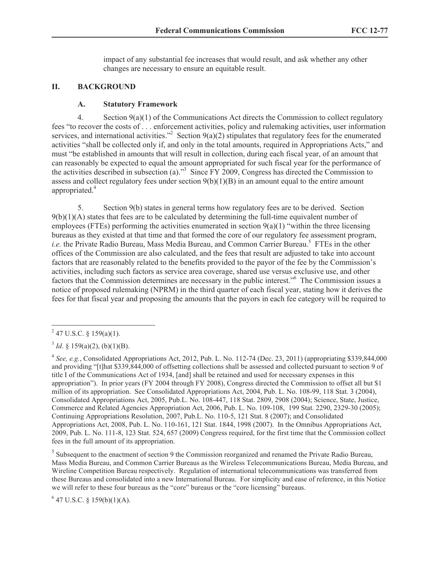impact of any substantial fee increases that would result, and ask whether any other changes are necessary to ensure an equitable result.

## **II. BACKGROUND**

## **A. Statutory Framework**

4. Section 9(a)(1) of the Communications Act directs the Commission to collect regulatory fees "to recover the costs of . . . enforcement activities, policy and rulemaking activities, user information services, and international activities.<sup>32</sup> Section 9(a)(2) stipulates that regulatory fees for the enumerated activities "shall be collected only if, and only in the total amounts, required in Appropriations Acts," and must "be established in amounts that will result in collection, during each fiscal year, of an amount that can reasonably be expected to equal the amount appropriated for such fiscal year for the performance of the activities described in subsection (a)."<sup>3</sup> Since FY 2009, Congress has directed the Commission to assess and collect regulatory fees under section  $9(b)(1)(B)$  in an amount equal to the entire amount appropriated. 4

5. Section 9(b) states in general terms how regulatory fees are to be derived. Section  $9(b)(1)(A)$  states that fees are to be calculated by determining the full-time equivalent number of employees (FTEs) performing the activities enumerated in section  $9(a)(1)$  "within the three licensing bureaus as they existed at that time and that formed the core of our regulatory fee assessment program, i.e. the Private Radio Bureau, Mass Media Bureau, and Common Carrier Bureau.<sup>5</sup> FTEs in the other offices of the Commission are also calculated, and the fees that result are adjusted to take into account factors that are reasonably related to the benefits provided to the payor of the fee by the Commission's activities, including such factors as service area coverage, shared use versus exclusive use, and other factors that the Commission determines are necessary in the public interest."<sup>6</sup> The Commission issues a notice of proposed rulemaking (NPRM) in the third quarter of each fiscal year, stating how it derives the fees for that fiscal year and proposing the amounts that the payors in each fee category will be required to

<sup>5</sup> Subsequent to the enactment of section 9 the Commission reorganized and renamed the Private Radio Bureau, Mass Media Bureau, and Common Carrier Bureaus as the Wireless Telecommunications Bureau, Media Bureau, and Wireline Competition Bureau respectively. Regulation of international telecommunications was transferred from these Bureaus and consolidated into a new International Bureau. For simplicity and ease of reference, in this Notice we will refer to these four bureaus as the "core" bureaus or the "core licensing" bureaus.

 $6$  47 U.S.C. § 159(b)(1)(A).

 $^{2}$  47 U.S.C. § 159(a)(1).

 $3^3$  *Id.* § 159(a)(2), (b)(1)(B).

<sup>4</sup> *See, e.g.*, Consolidated Appropriations Act, 2012, Pub. L. No. 112-74 (Dec. 23, 2011) (appropriating \$339,844,000 and providing "[t]hat \$339,844,000 of offsetting collections shall be assessed and collected pursuant to section 9 of title I of the Communications Act of 1934, [and] shall be retained and used for necessary expenses in this appropriation"). In prior years (FY 2004 through FY 2008), Congress directed the Commission to offset all but \$1 million of its appropriation. See Consolidated Appropriations Act, 2004, Pub. L. No. 108-99, 118 Stat. 3 (2004), Consolidated Appropriations Act, 2005, Pub.L. No. 108-447, 118 Stat. 2809, 2908 (2004); Science, State, Justice, Commerce and Related Agencies Appropriation Act, 2006, Pub. L. No. 109-108, 199 Stat. 2290, 2329-30 (2005); Continuing Appropriations Resolution, 2007, Pub.L. No. 110-5, 121 Stat. 8 (2007); and Consolidated Appropriations Act, 2008, Pub. L. No. 110-161, 121 Stat. 1844, 1998 (2007). In the Omnibus Appropriations Act, 2009, Pub. L. No. 111-8, 123 Stat. 524, 657 (2009) Congress required, for the first time that the Commission collect fees in the full amount of its appropriation.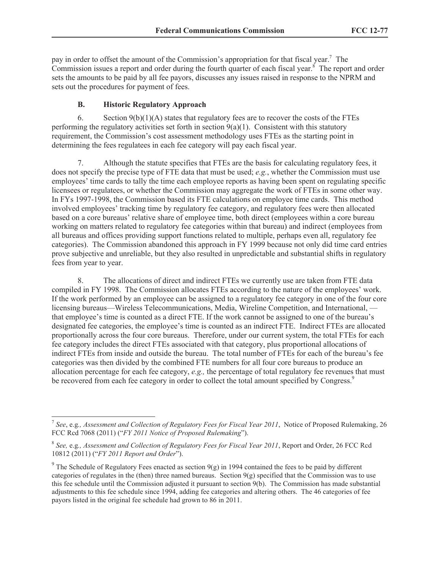pay in order to offset the amount of the Commission's appropriation for that fiscal year.<sup>7</sup> The Commission issues a report and order during the fourth quarter of each fiscal year. $\delta$  The report and order sets the amounts to be paid by all fee payors, discusses any issues raised in response to the NPRM and sets out the procedures for payment of fees.

# **B. Historic Regulatory Approach**

6. Section  $9(b)(1)(A)$  states that regulatory fees are to recover the costs of the FTEs performing the regulatory activities set forth in section  $9(a)(1)$ . Consistent with this statutory requirement, the Commission's cost assessment methodology uses FTEs as the starting point in determining the fees regulatees in each fee category will pay each fiscal year.

7. Although the statute specifies that FTEs are the basis for calculating regulatory fees, it does not specify the precise type of FTE data that must be used; *e.g.*, whether the Commission must use employees' time cards to tally the time each employee reports as having been spent on regulating specific licensees or regulatees, or whether the Commission may aggregate the work of FTEs in some other way. In FYs 1997-1998, the Commission based its FTE calculations on employee time cards. This method involved employees' tracking time by regulatory fee category, and regulatory fees were then allocated based on a core bureaus' relative share of employee time, both direct (employees within a core bureau working on matters related to regulatory fee categories within that bureau) and indirect (employees from all bureaus and offices providing support functions related to multiple, perhaps even all, regulatory fee categories). The Commission abandoned this approach in FY 1999 because not only did time card entries prove subjective and unreliable, but they also resulted in unpredictable and substantial shifts in regulatory fees from year to year.

8. The allocations of direct and indirect FTEs we currently use are taken from FTE data compiled in FY 1998. The Commission allocates FTEs according to the nature of the employees' work. If the work performed by an employee can be assigned to a regulatory fee category in one of the four core licensing bureaus—Wireless Telecommunications, Media, Wireline Competition, and International, that employee's time is counted as a direct FTE. If the work cannot be assigned to one of the bureau's designated fee categories, the employee's time is counted as an indirect FTE. Indirect FTEs are allocated proportionally across the four core bureaus. Therefore, under our current system, the total FTEs for each fee category includes the direct FTEs associated with that category, plus proportional allocations of indirect FTEs from inside and outside the bureau. The total number of FTEs for each of the bureau's fee categories was then divided by the combined FTE numbers for all four core bureaus to produce an allocation percentage for each fee category, *e.g.,* the percentage of total regulatory fee revenues that must be recovered from each fee category in order to collect the total amount specified by Congress.<sup>9</sup>

 $\overline{a}$ 7 *See*, e.g*., Assessment and Collection of Regulatory Fees for Fiscal Year 2011*, Notice of Proposed Rulemaking, 26 FCC Rcd 7068 (2011) ("*FY 2011 Notice of Proposed Rulemaking*").

<sup>8</sup> *See,* e.g*., Assessment and Collection of Regulatory Fees for Fiscal Year 2011*, Report and Order, 26 FCC Rcd 10812 (2011) ("*FY 2011 Report and Order*").

<sup>&</sup>lt;sup>9</sup> The Schedule of Regulatory Fees enacted as section 9(g) in 1994 contained the fees to be paid by different categories of regulates in the (then) three named bureaus. Section  $9(g)$  specified that the Commission was to use this fee schedule until the Commission adjusted it pursuant to section 9(b). The Commission has made substantial adjustments to this fee schedule since 1994, adding fee categories and altering others. The 46 categories of fee payors listed in the original fee schedule had grown to 86 in 2011.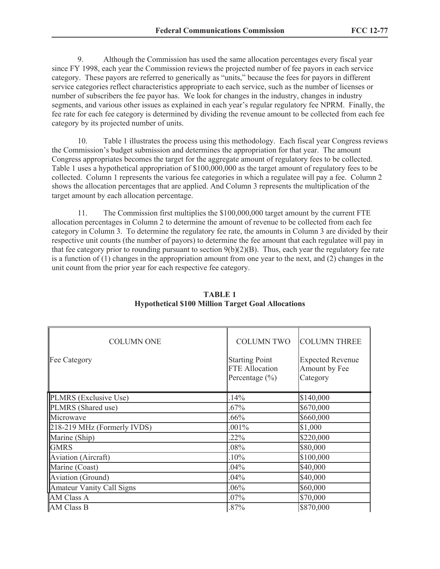9. Although the Commission has used the same allocation percentages every fiscal year since FY 1998, each year the Commission reviews the projected number of fee payors in each service category. These payors are referred to generically as "units," because the fees for payors in different service categories reflect characteristics appropriate to each service, such as the number of licenses or number of subscribers the fee payor has. We look for changes in the industry, changes in industry segments, and various other issues as explained in each year's regular regulatory fee NPRM. Finally, the fee rate for each fee category is determined by dividing the revenue amount to be collected from each fee category by its projected number of units.

10. Table 1 illustrates the process using this methodology. Each fiscal year Congress reviews the Commission's budget submission and determines the appropriation for that year. The amount Congress appropriates becomes the target for the aggregate amount of regulatory fees to be collected. Table 1 uses a hypothetical appropriation of \$100,000,000 as the target amount of regulatory fees to be collected. Column 1 represents the various fee categories in which a regulatee will pay a fee. Column 2 shows the allocation percentages that are applied. And Column 3 represents the multiplication of the target amount by each allocation percentage.

11. The Commission first multiplies the \$100,000,000 target amount by the current FTE allocation percentages in Column 2 to determine the amount of revenue to be collected from each fee category in Column 3. To determine the regulatory fee rate, the amounts in Column 3 are divided by their respective unit counts (the number of payors) to determine the fee amount that each regulatee will pay in that fee category prior to rounding pursuant to section  $9(b)(2)(B)$ . Thus, each year the regulatory fee rate is a function of (1) changes in the appropriation amount from one year to the next, and (2) changes in the unit count from the prior year for each respective fee category.

| <b>COLUMN ONE</b><br>Fee Category | <b>COLUMN TWO</b><br><b>Starting Point</b><br><b>FTE Allocation</b> | <b>COLUMN THREE</b><br><b>Expected Revenue</b><br>Amount by Fee |
|-----------------------------------|---------------------------------------------------------------------|-----------------------------------------------------------------|
|                                   | Percentage $(\% )$                                                  | Category                                                        |
| PLMRS (Exclusive Use)             | .14%                                                                | \$140,000                                                       |
| PLMRS (Shared use)                | $.67\%$                                                             | \$670,000                                                       |
| Microwave                         | .66%                                                                | \$660,000                                                       |
| 218-219 MHz (Formerly IVDS)       | .001%                                                               | \$1,000                                                         |
| Marine (Ship)                     | .22%                                                                | \$220,000                                                       |
| <b>GMRS</b>                       | .08%                                                                | \$80,000                                                        |
| <b>Aviation</b> (Aircraft)        | .10%                                                                | \$100,000                                                       |
| Marine (Coast)                    | 04%                                                                 | \$40,000                                                        |
| Aviation (Ground)                 | 04%                                                                 | \$40,000                                                        |
| <b>Amateur Vanity Call Signs</b>  | .06%                                                                | \$60,000                                                        |
| <b>AM Class A</b>                 | 07%                                                                 | \$70,000                                                        |
| AM Class B                        | 87%                                                                 | \$870,000                                                       |

# **TABLE 1 Hypothetical \$100 Million Target Goal Allocations**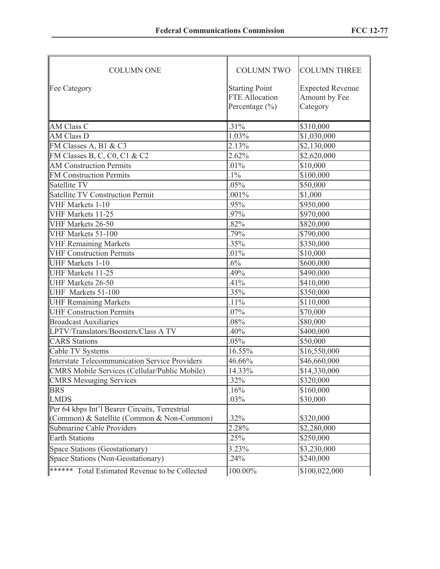| <b>COLUMN ONE</b>                                     | <b>COLUMN TWO</b>                                             | <b>COLUMN THREE</b>                                  |
|-------------------------------------------------------|---------------------------------------------------------------|------------------------------------------------------|
| <b>Fee Category</b>                                   | <b>Starting Point</b><br>FTE Allocation<br>Percentage $(\% )$ | <b>Expected Revenue</b><br>Amount by Fee<br>Category |
| <b>AM Class C</b>                                     | .31%                                                          | \$310,000                                            |
| <b>AM Class D</b>                                     | 1.03%                                                         | \$1,030,000                                          |
| FM Classes A, B1 & C3                                 | 2.13%                                                         | $\overline{$2,130,000}$                              |
| FM Classes B, C, C0, C1 & C2                          | 2.62%                                                         | \$2,620,000                                          |
| <b>AM Construction Permits</b>                        | .01%                                                          | \$10,000                                             |
| <b>FM Construction Permits</b>                        | $.1\%$                                                        | \$100,000                                            |
| Satellite TV                                          | .05%                                                          | \$50,000                                             |
| <b>Satellite TV Construction Permit</b>               | .001%                                                         | \$1,000                                              |
| VHF Markets 1-10                                      | .95%                                                          | \$950,000                                            |
| VHF Markets $11-25$                                   | .97%                                                          | \$970,000                                            |
| VHF Markets 26-50                                     | .82%                                                          | \$820,000                                            |
| VHF Markets 51-100                                    | .79%                                                          | \$790,000                                            |
| VHF Remaining Markets                                 | .35%                                                          | \$350,000                                            |
| VHF Construction Permits                              | $.01\%$                                                       | \$10,000                                             |
| <b>UHF Markets 1-10</b>                               | $.6\%$                                                        | \$600,000                                            |
| <b>UHF Markets 11-25</b>                              | .49%                                                          | \$490,000                                            |
| UHF Markets 26-50                                     | .41%                                                          | \$410,000                                            |
| UHF Markets 51-100                                    | $.35\%$                                                       | $\overline{$}350,000$                                |
| <b>UHF Remaining Markets</b>                          | $.11\%$                                                       | \$110,000                                            |
| <b>UHF Construction Permits</b>                       | .07%                                                          | \$70,000                                             |
| <b>Broadcast Auxiliaries</b>                          | .08%                                                          | \$80,000                                             |
| LPTV/Translators/Boosters/Class A TV                  | .40%                                                          | \$400,000                                            |
| <b>CARS</b> Stations                                  | .05%                                                          | \$50,000                                             |
| Cable TV Systems                                      | 16.55%                                                        | \$16,550,000                                         |
| Interstate Telecommunication Service Providers        | 46.66%                                                        | \$46,660,000                                         |
| CMRS Mobile Services (Cellular/Public Mobile)         | 14.33%                                                        | \$14,330,000                                         |
| CMRS Messaging Services                               | .32%                                                          | $\overline{$320,000}$                                |
| <b>BRS</b>                                            | .16%                                                          | \$160,000                                            |
| <b>LMDS</b>                                           | .03%                                                          | \$30,000                                             |
| Per 64 kbps Int'l Bearer Circuits, Terrestrial        |                                                               |                                                      |
| (Common) & Satellite (Common & Non-Common)            | .32%                                                          | \$320,000                                            |
| Submarine Cable Providers                             | 2.28%                                                         | \$2,280,000                                          |
| <b>Earth Stations</b>                                 | .25%                                                          | \$250,000                                            |
| Space Stations (Geostationary)                        | 3.23%                                                         | \$3,230,000                                          |
| Space Stations (Non-Geostationary)                    | .24%                                                          | \$240,000                                            |
| <b>******</b> Total Estimated Revenue to be Collected | 100.00%                                                       | \$100,022,000                                        |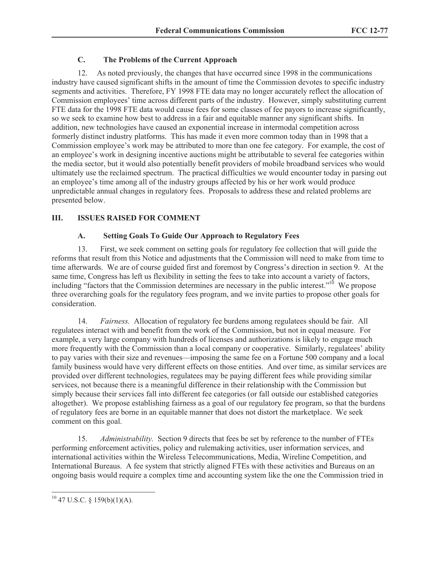# **C. The Problems of the Current Approach**

12. As noted previously, the changes that have occurred since 1998 in the communications industry have caused significant shifts in the amount of time the Commission devotes to specific industry segments and activities. Therefore, FY 1998 FTE data may no longer accurately reflect the allocation of Commission employees' time across different parts of the industry. However, simply substituting current FTE data for the 1998 FTE data would cause fees for some classes of fee payors to increase significantly, so we seek to examine how best to address in a fair and equitable manner any significant shifts. In addition, new technologies have caused an exponential increase in intermodal competition across formerly distinct industry platforms. This has made it even more common today than in 1998 that a Commission employee's work may be attributed to more than one fee category. For example, the cost of an employee's work in designing incentive auctions might be attributable to several fee categories within the media sector, but it would also potentially benefit providers of mobile broadband services who would ultimately use the reclaimed spectrum. The practical difficulties we would encounter today in parsing out an employee's time among all of the industry groups affected by his or her work would produce unpredictable annual changes in regulatory fees. Proposals to address these and related problems are presented below.

# **III. ISSUES RAISED FOR COMMENT**

# **A. Setting Goals To Guide Our Approach to Regulatory Fees**

13. First, we seek comment on setting goals for regulatory fee collection that will guide the reforms that result from this Notice and adjustments that the Commission will need to make from time to time afterwards. We are of course guided first and foremost by Congress's direction in section 9. At the same time, Congress has left us flexibility in setting the fees to take into account a variety of factors, including "factors that the Commission determines are necessary in the public interest."<sup>10</sup> We propose three overarching goals for the regulatory fees program, and we invite parties to propose other goals for consideration.

14. *Fairness.* Allocation of regulatory fee burdens among regulatees should be fair. All regulatees interact with and benefit from the work of the Commission, but not in equal measure. For example, a very large company with hundreds of licenses and authorizations is likely to engage much more frequently with the Commission than a local company or cooperative. Similarly, regulatees' ability to pay varies with their size and revenues—imposing the same fee on a Fortune 500 company and a local family business would have very different effects on those entities. And over time, as similar services are provided over different technologies, regulatees may be paying different fees while providing similar services, not because there is a meaningful difference in their relationship with the Commission but simply because their services fall into different fee categories (or fall outside our established categories altogether). We propose establishing fairness as a goal of our regulatory fee program, so that the burdens of regulatory fees are borne in an equitable manner that does not distort the marketplace. We seek comment on this goal.

15. *Administrability.* Section 9 directs that fees be set by reference to the number of FTEs performing enforcement activities, policy and rulemaking activities, user information services, and international activities within the Wireless Telecommunications, Media, Wireline Competition, and International Bureaus. A fee system that strictly aligned FTEs with these activities and Bureaus on an ongoing basis would require a complex time and accounting system like the one the Commission tried in

 $\overline{a}$  $10$  47 U.S.C. § 159(b)(1)(A).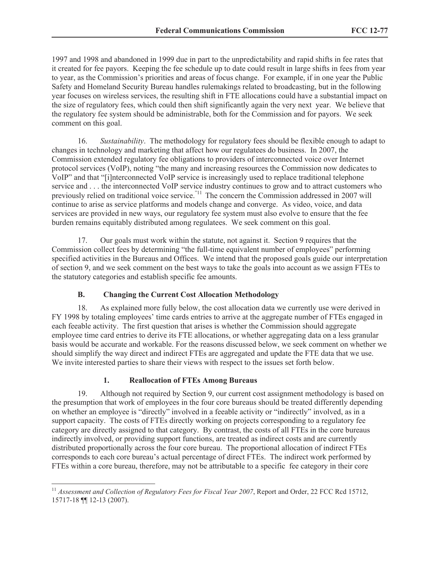1997 and 1998 and abandoned in 1999 due in part to the unpredictability and rapid shifts in fee rates that it created for fee payors. Keeping the fee schedule up to date could result in large shifts in fees from year to year, as the Commission's priorities and areas of focus change. For example, if in one year the Public Safety and Homeland Security Bureau handles rulemakings related to broadcasting, but in the following year focuses on wireless services, the resulting shift in FTE allocations could have a substantial impact on the size of regulatory fees, which could then shift significantly again the very next year. We believe that the regulatory fee system should be administrable, both for the Commission and for payors. We seek comment on this goal.

16. *Sustainability*. The methodology for regulatory fees should be flexible enough to adapt to changes in technology and marketing that affect how our regulatees do business. In 2007, the Commission extended regulatory fee obligations to providers of interconnected voice over Internet protocol services (VoIP), noting "the many and increasing resources the Commission now dedicates to VoIP" and that "[i]nterconnected VoIP service is increasingly used to replace traditional telephone service and . . . the interconnected VoIP service industry continues to grow and to attract customers who previously relied on traditional voice service.<sup>"11</sup> The concern the Commission addressed in 2007 will continue to arise as service platforms and models change and converge. As video, voice, and data services are provided in new ways, our regulatory fee system must also evolve to ensure that the fee burden remains equitably distributed among regulatees. We seek comment on this goal.

17. Our goals must work within the statute, not against it. Section 9 requires that the Commission collect fees by determining "the full-time equivalent number of employees" performing specified activities in the Bureaus and Offices. We intend that the proposed goals guide our interpretation of section 9, and we seek comment on the best ways to take the goals into account as we assign FTEs to the statutory categories and establish specific fee amounts.

# **B. Changing the Current Cost Allocation Methodology**

18. As explained more fully below, the cost allocation data we currently use were derived in FY 1998 by totaling employees' time cards entries to arrive at the aggregate number of FTEs engaged in each feeable activity. The first question that arises is whether the Commission should aggregate employee time card entries to derive its FTE allocations, or whether aggregating data on a less granular basis would be accurate and workable. For the reasons discussed below, we seek comment on whether we should simplify the way direct and indirect FTEs are aggregated and update the FTE data that we use. We invite interested parties to share their views with respect to the issues set forth below.

# **1. Reallocation of FTEs Among Bureaus**

19. Although not required by Section 9, our current cost assignment methodology is based on the presumption that work of employees in the four core bureaus should be treated differently depending on whether an employee is "directly" involved in a feeable activity or "indirectly" involved, as in a support capacity. The costs of FTEs directly working on projects corresponding to a regulatory fee category are directly assigned to that category. By contrast, the costs of all FTEs in the core bureaus indirectly involved, or providing support functions, are treated as indirect costs and are currently distributed proportionally across the four core bureau. The proportional allocation of indirect FTEs corresponds to each core bureau's actual percentage of direct FTEs. The indirect work performed by FTEs within a core bureau, therefore, may not be attributable to a specific fee category in their core

 $\overline{a}$ <sup>11</sup> Assessment and Collection of Regulatory Fees for Fiscal Year 2007, Report and Order, 22 FCC Rcd 15712, 15717-18 ¶¶ 12-13 (2007).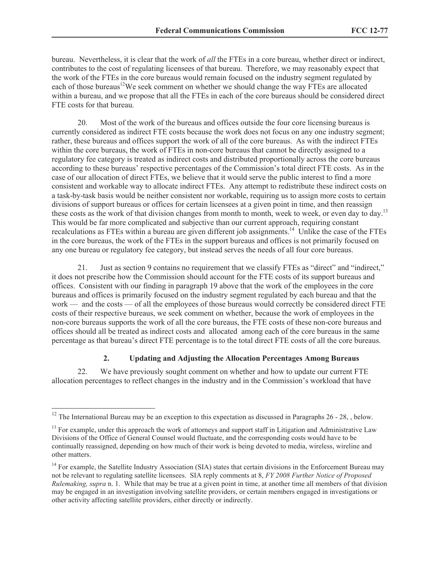bureau. Nevertheless, it is clear that the work of *all* the FTEs in a core bureau, whether direct or indirect, contributes to the cost of regulating licensees of that bureau. Therefore, we may reasonably expect that the work of the FTEs in the core bureaus would remain focused on the industry segment regulated by each of those bureaus<sup>12</sup>We seek comment on whether we should change the way FTEs are allocated within a bureau, and we propose that all the FTEs in each of the core bureaus should be considered direct FTE costs for that bureau.

20. Most of the work of the bureaus and offices outside the four core licensing bureaus is currently considered as indirect FTE costs because the work does not focus on any one industry segment; rather, these bureaus and offices support the work of all of the core bureaus. As with the indirect FTEs within the core bureaus, the work of FTEs in non-core bureaus that cannot be directly assigned to a regulatory fee category is treated as indirect costs and distributed proportionally across the core bureaus according to these bureaus' respective percentages of the Commission's total direct FTE costs. As in the case of our allocation of direct FTEs, we believe that it would serve the public interest to find a more consistent and workable way to allocate indirect FTEs. Any attempt to redistribute these indirect costs on a task-by-task basis would be neither consistent nor workable, requiring us to assign more costs to certain divisions of support bureaus or offices for certain licensees at a given point in time, and then reassign these costs as the work of that division changes from month to month, week to week, or even day to day.<sup>13</sup> This would be far more complicated and subjective than our current approach, requiring constant recalculations as FTEs within a bureau are given different job assignments.<sup>14</sup> Unlike the case of the FTEs in the core bureaus, the work of the FTEs in the support bureaus and offices is not primarily focused on any one bureau or regulatory fee category, but instead serves the needs of all four core bureaus.

21. Just as section 9 contains no requirement that we classify FTEs as "direct" and "indirect," it does not prescribe how the Commission should account for the FTE costs of its support bureaus and offices. Consistent with our finding in paragraph 19 above that the work of the employees in the core bureaus and offices is primarily focused on the industry segment regulated by each bureau and that the work — and the costs — of all the employees of those bureaus would correctly be considered direct FTE costs of their respective bureaus, we seek comment on whether, because the work of employees in the non-core bureaus supports the work of all the core bureaus, the FTE costs of these non-core bureaus and offices should all be treated as indirect costs and allocated among each of the core bureaus in the same percentage as that bureau's direct FTE percentage is to the total direct FTE costs of all the core bureaus.

## **2. Updating and Adjusting the Allocation Percentages Among Bureaus**

22. We have previously sought comment on whether and how to update our current FTE allocation percentages to reflect changes in the industry and in the Commission's workload that have

<sup>&</sup>lt;sup>12</sup> The International Bureau may be an exception to this expectation as discussed in Paragraphs  $26 - 28$ , below.

 $13$  For example, under this approach the work of attorneys and support staff in Litigation and Administrative Law Divisions of the Office of General Counsel would fluctuate, and the corresponding costs would have to be continually reassigned, depending on how much of their work is being devoted to media, wireless, wireline and other matters.

<sup>&</sup>lt;sup>14</sup> For example, the Satellite Industry Association (SIA) states that certain divisions in the Enforcement Bureau may not be relevant to regulating satellite licensees. SIA reply comments at 8, *FY 2008 Further Notice of Proposed Rulemaking, supra* n. 1. While that may be true at a given point in time, at another time all members of that division may be engaged in an investigation involving satellite providers, or certain members engaged in investigations or other activity affecting satellite providers, either directly or indirectly.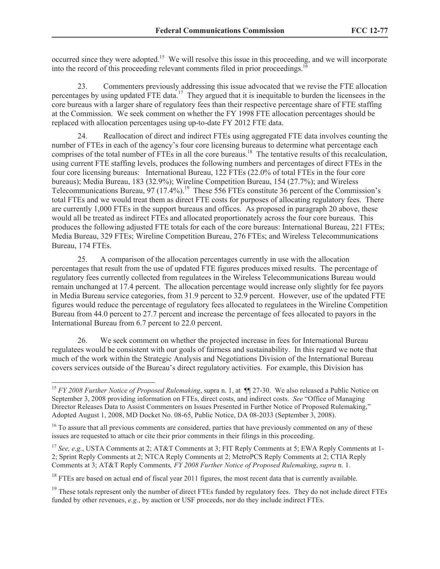occurred since they were adopted.<sup>15</sup> We will resolve this issue in this proceeding, and we will incorporate into the record of this proceeding relevant comments filed in prior proceedings.<sup>1</sup>

23. Commenters previously addressing this issue advocated that we revise the FTE allocation percentages by using updated FTE data.<sup>17</sup> They argued that it is inequitable to burden the licensees in the core bureaus with a larger share of regulatory fees than their respective percentage share of FTE staffing at the Commission. We seek comment on whether the FY 1998 FTE allocation percentages should be replaced with allocation percentages using up-to-date FY 2012 FTE data.

24. Reallocation of direct and indirect FTEs using aggregated FTE data involves counting the number of FTEs in each of the agency's four core licensing bureaus to determine what percentage each comprises of the total number of FTEs in all the core bureaus.<sup>18</sup> The tentative results of this recalculation, using current FTE staffing levels, produces the following numbers and percentages of direct FTEs in the four core licensing bureaus: International Bureau, 122 FTEs (22.0% of total FTEs in the four core bureaus); Media Bureau, 183 (32.9%); Wireline Competition Bureau, 154 (27.7%); and Wireless Telecommunications Bureau,  $97 (17.4\%)$ <sup>19</sup> These 556 FTEs constitute 36 percent of the Commission's total FTEs and we would treat them as direct FTE costs for purposes of allocating regulatory fees. There are currently 1,000 FTEs in the support bureaus and offices. As proposed in paragraph 20 above, these would all be treated as indirect FTEs and allocated proportionately across the four core bureaus. This produces the following adjusted FTE totals for each of the core bureaus: International Bureau, 221 FTEs; Media Bureau, 329 FTEs; Wireline Competition Bureau, 276 FTEs; and Wireless Telecommunications Bureau, 174 FTEs.

25. A comparison of the allocation percentages currently in use with the allocation percentages that result from the use of updated FTE figures produces mixed results. The percentage of regulatory fees currently collected from regulatees in the Wireless Telecommunications Bureau would remain unchanged at 17.4 percent. The allocation percentage would increase only slightly for fee payors in Media Bureau service categories, from 31.9 percent to 32.9 percent. However, use of the updated FTE figures would reduce the percentage of regulatory fees allocated to regulatees in the Wireline Competition Bureau from 44.0 percent to 27.7 percent and increase the percentage of fees allocated to payors in the International Bureau from 6.7 percent to 22.0 percent.

26. We seek comment on whether the projected increase in fees for International Bureau regulatees would be consistent with our goals of fairness and sustainability. In this regard we note that much of the work within the Strategic Analysis and Negotiations Division of the International Bureau covers services outside of the Bureau's direct regulatory activities. For example, this Division has

<sup>&</sup>lt;sup>15</sup> *FY 2008 Further Notice of Proposed Rulemaking*, supra n. 1, at  $\P$  27-30. We also released a Public Notice on September 3, 2008 providing information on FTEs, direct costs, and indirect costs. *See* "Office of Managing Director Releases Data to Assist Commenters on Issues Presented in Further Notice of Proposed Rulemaking," Adopted August 1, 2008, MD Docket No. 08-65, Public Notice, DA 08-2033 (September 3, 2008).

<sup>&</sup>lt;sup>16</sup> To assure that all previous comments are considered, parties that have previously commented on any of these issues are requested to attach or cite their prior comments in their filings in this proceeding.

<sup>&</sup>lt;sup>17</sup> *See, e.g.*, USTA Comments at 2; AT&T Comments at 3; FIT Reply Comments at 5; EWA Reply Comments at 1-2; Sprint Reply Comments at 2; NTCA Reply Comments at 2; MetroPCS Reply Comments at 2; CTIA Reply Comments at 3; AT&T Reply Comments*, FY 2008 Further Notice of Proposed Rulemaking*, *supra* n. 1.

<sup>&</sup>lt;sup>18</sup> FTEs are based on actual end of fiscal year 2011 figures, the most recent data that is currently available.

 $19$  These totals represent only the number of direct FTEs funded by regulatory fees. They do not include direct FTEs funded by other revenues, *e.g.*, by auction or USF proceeds, nor do they include indirect FTEs.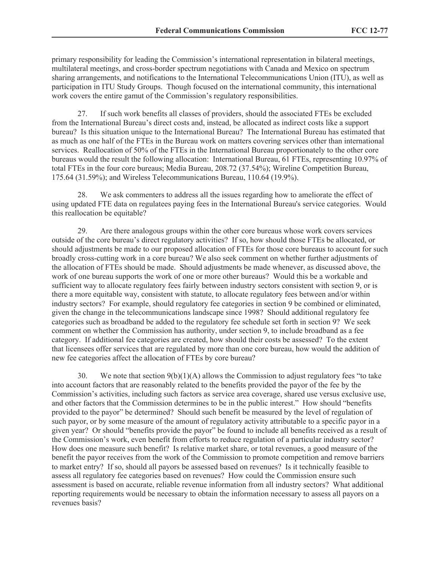primary responsibility for leading the Commission's international representation in bilateral meetings, multilateral meetings, and cross-border spectrum negotiations with Canada and Mexico on spectrum sharing arrangements, and notifications to the International Telecommunications Union (ITU), as well as participation in ITU Study Groups. Though focused on the international community, this international work covers the entire gamut of the Commission's regulatory responsibilities.

27. If such work benefits all classes of providers, should the associated FTEs be excluded from the International Bureau's direct costs and, instead, be allocated as indirect costs like a support bureau? Is this situation unique to the International Bureau? The International Bureau has estimated that as much as one half of the FTEs in the Bureau work on matters covering services other than international services. Reallocation of 50% of the FTEs in the International Bureau proportionately to the other core bureaus would the result the following allocation: International Bureau, 61 FTEs, representing 10.97% of total FTEs in the four core bureaus; Media Bureau, 208.72 (37.54%); Wireline Competition Bureau, 175.64 (31.59%); and Wireless Telecommunications Bureau, 110.64 (19.9%).

28. We ask commenters to address all the issues regarding how to ameliorate the effect of using updated FTE data on regulatees paying fees in the International Bureau's service categories. Would this reallocation be equitable?

29. Are there analogous groups within the other core bureaus whose work covers services outside of the core bureau's direct regulatory activities? If so, how should those FTEs be allocated, or should adjustments be made to our proposed allocation of FTEs for those core bureaus to account for such broadly cross-cutting work in a core bureau? We also seek comment on whether further adjustments of the allocation of FTEs should be made. Should adjustments be made whenever, as discussed above, the work of one bureau supports the work of one or more other bureaus? Would this be a workable and sufficient way to allocate regulatory fees fairly between industry sectors consistent with section 9, or is there a more equitable way, consistent with statute, to allocate regulatory fees between and/or within industry sectors? For example, should regulatory fee categories in section 9 be combined or eliminated, given the change in the telecommunications landscape since 1998? Should additional regulatory fee categories such as broadband be added to the regulatory fee schedule set forth in section 9? We seek comment on whether the Commission has authority, under section 9, to include broadband as a fee category. If additional fee categories are created, how should their costs be assessed? To the extent that licensees offer services that are regulated by more than one core bureau, how would the addition of new fee categories affect the allocation of FTEs by core bureau?

30. We note that section  $9(b)(1)(A)$  allows the Commission to adjust regulatory fees "to take into account factors that are reasonably related to the benefits provided the payor of the fee by the Commission's activities, including such factors as service area coverage, shared use versus exclusive use, and other factors that the Commission determines to be in the public interest." How should "benefits provided to the payor" be determined? Should such benefit be measured by the level of regulation of such payor, or by some measure of the amount of regulatory activity attributable to a specific payor in a given year? Or should "benefits provide the payor" be found to include all benefits received as a result of the Commission's work, even benefit from efforts to reduce regulation of a particular industry sector? How does one measure such benefit? Is relative market share, or total revenues, a good measure of the benefit the payor receives from the work of the Commission to promote competition and remove barriers to market entry? If so, should all payors be assessed based on revenues? Is it technically feasible to assess all regulatory fee categories based on revenues? How could the Commission ensure such assessment is based on accurate, reliable revenue information from all industry sectors? What additional reporting requirements would be necessary to obtain the information necessary to assess all payors on a revenues basis?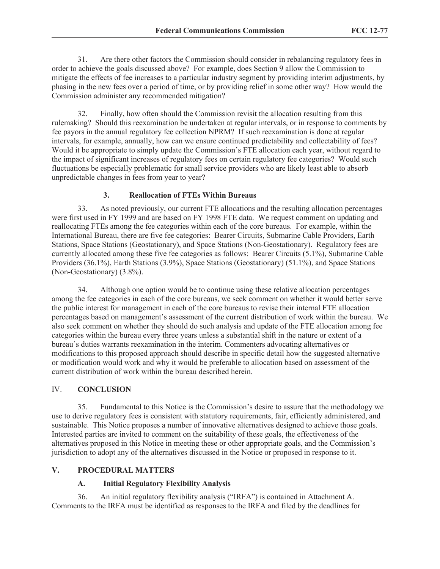31. Are there other factors the Commission should consider in rebalancing regulatory fees in order to achieve the goals discussed above? For example, does Section 9 allow the Commission to mitigate the effects of fee increases to a particular industry segment by providing interim adjustments, by phasing in the new fees over a period of time, or by providing relief in some other way? How would the Commission administer any recommended mitigation?

32. Finally, how often should the Commission revisit the allocation resulting from this rulemaking? Should this reexamination be undertaken at regular intervals, or in response to comments by fee payors in the annual regulatory fee collection NPRM? If such reexamination is done at regular intervals, for example, annually, how can we ensure continued predictability and collectability of fees? Would it be appropriate to simply update the Commission's FTE allocation each year, without regard to the impact of significant increases of regulatory fees on certain regulatory fee categories? Would such fluctuations be especially problematic for small service providers who are likely least able to absorb unpredictable changes in fees from year to year?

# **3. Reallocation of FTEs Within Bureaus**

33. As noted previously, our current FTE allocations and the resulting allocation percentages were first used in FY 1999 and are based on FY 1998 FTE data. We request comment on updating and reallocating FTEs among the fee categories within each of the core bureaus. For example, within the International Bureau, there are five fee categories: Bearer Circuits, Submarine Cable Providers, Earth Stations, Space Stations (Geostationary), and Space Stations (Non-Geostationary). Regulatory fees are currently allocated among these five fee categories as follows: Bearer Circuits (5.1%), Submarine Cable Providers (36.1%), Earth Stations (3.9%), Space Stations (Geostationary) (51.1%), and Space Stations (Non-Geostationary) (3.8%).

34. Although one option would be to continue using these relative allocation percentages among the fee categories in each of the core bureaus, we seek comment on whether it would better serve the public interest for management in each of the core bureaus to revise their internal FTE allocation percentages based on management's assessment of the current distribution of work within the bureau. We also seek comment on whether they should do such analysis and update of the FTE allocation among fee categories within the bureau every three years unless a substantial shift in the nature or extent of a bureau's duties warrants reexamination in the interim. Commenters advocating alternatives or modifications to this proposed approach should describe in specific detail how the suggested alternative or modification would work and why it would be preferable to allocation based on assessment of the current distribution of work within the bureau described herein.

# IV. **CONCLUSION**

35. Fundamental to this Notice is the Commission's desire to assure that the methodology we use to derive regulatory fees is consistent with statutory requirements, fair, efficiently administered, and sustainable. This Notice proposes a number of innovative alternatives designed to achieve those goals. Interested parties are invited to comment on the suitability of these goals, the effectiveness of the alternatives proposed in this Notice in meeting these or other appropriate goals, and the Commission's jurisdiction to adopt any of the alternatives discussed in the Notice or proposed in response to it.

## **V. PROCEDURAL MATTERS**

## **A. Initial Regulatory Flexibility Analysis**

36. An initial regulatory flexibility analysis ("IRFA") is contained in Attachment A. Comments to the IRFA must be identified as responses to the IRFA and filed by the deadlines for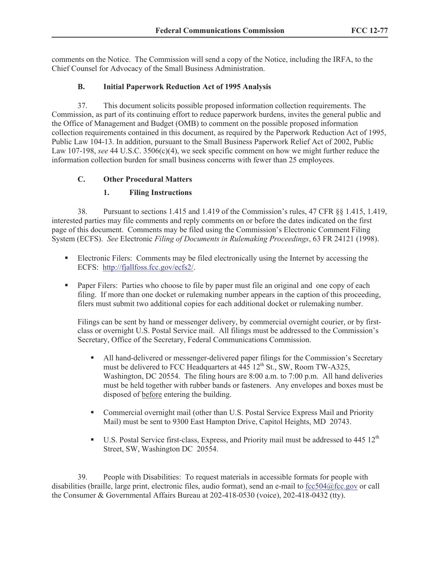comments on the Notice. The Commission will send a copy of the Notice, including the IRFA, to the Chief Counsel for Advocacy of the Small Business Administration.

# **B. Initial Paperwork Reduction Act of 1995 Analysis**

37. This document solicits possible proposed information collection requirements. The Commission, as part of its continuing effort to reduce paperwork burdens, invites the general public and the Office of Management and Budget (OMB) to comment on the possible proposed information collection requirements contained in this document, as required by the Paperwork Reduction Act of 1995, Public Law 104-13. In addition, pursuant to the Small Business Paperwork Relief Act of 2002, Public Law 107-198, *see* 44 U.S.C. 3506(c)(4), we seek specific comment on how we might further reduce the information collection burden for small business concerns with fewer than 25 employees.

# **C. Other Procedural Matters**

# **1. Filing Instructions**

38. Pursuant to sections 1.415 and 1.419 of the Commission's rules, 47 CFR §§ 1.415, 1.419, interested parties may file comments and reply comments on or before the dates indicated on the first page of this document. Comments may be filed using the Commission's Electronic Comment Filing System (ECFS). *See* Electronic *Filing of Documents in Rulemaking Proceedings*, 63 FR 24121 (1998).

- Electronic Filers: Comments may be filed electronically using the Internet by accessing the ECFS: http://fjallfoss.fcc.gov/ecfs2/.
- Paper Filers: Parties who choose to file by paper must file an original and one copy of each filing. If more than one docket or rulemaking number appears in the caption of this proceeding, filers must submit two additional copies for each additional docket or rulemaking number.

Filings can be sent by hand or messenger delivery, by commercial overnight courier, or by firstclass or overnight U.S. Postal Service mail. All filings must be addressed to the Commission's Secretary, Office of the Secretary, Federal Communications Commission.

- All hand-delivered or messenger-delivered paper filings for the Commission's Secretary must be delivered to FCC Headquarters at  $\overline{445}$  12<sup>th</sup> St., SW, Room TW-A325, Washington, DC 20554. The filing hours are 8:00 a.m. to 7:00 p.m. All hand deliveries must be held together with rubber bands or fasteners. Any envelopes and boxes must be disposed of before entering the building.
- Commercial overnight mail (other than U.S. Postal Service Express Mail and Priority Mail) must be sent to 9300 East Hampton Drive, Capitol Heights, MD 20743.
- $\blacksquare$  U.S. Postal Service first-class, Express, and Priority mail must be addressed to 445 12<sup>th</sup> Street, SW, Washington DC 20554.

39. People with Disabilities: To request materials in accessible formats for people with disabilities (braille, large print, electronic files, audio format), send an e-mail to fcc504@fcc.gov or call the Consumer & Governmental Affairs Bureau at 202-418-0530 (voice), 202-418-0432 (tty).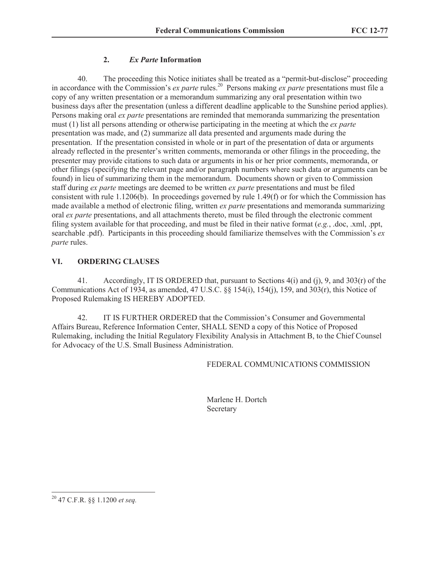# **2.** *Ex Parte* **Information**

40. The proceeding this Notice initiates shall be treated as a "permit-but-disclose" proceeding in accordance with the Commission's *ex parte* rules.<sup>20</sup> Persons making *ex parte* presentations must file a copy of any written presentation or a memorandum summarizing any oral presentation within two business days after the presentation (unless a different deadline applicable to the Sunshine period applies). Persons making oral *ex parte* presentations are reminded that memoranda summarizing the presentation must (1) list all persons attending or otherwise participating in the meeting at which the *ex parte*  presentation was made, and (2) summarize all data presented and arguments made during the presentation. If the presentation consisted in whole or in part of the presentation of data or arguments already reflected in the presenter's written comments, memoranda or other filings in the proceeding, the presenter may provide citations to such data or arguments in his or her prior comments, memoranda, or other filings (specifying the relevant page and/or paragraph numbers where such data or arguments can be found) in lieu of summarizing them in the memorandum. Documents shown or given to Commission staff during *ex parte* meetings are deemed to be written *ex parte* presentations and must be filed consistent with rule 1.1206(b). In proceedings governed by rule 1.49(f) or for which the Commission has made available a method of electronic filing, written *ex parte* presentations and memoranda summarizing oral *ex parte* presentations, and all attachments thereto, must be filed through the electronic comment filing system available for that proceeding, and must be filed in their native format (*e.g.*, .doc, .xml, .ppt, searchable .pdf). Participants in this proceeding should familiarize themselves with the Commission's *ex parte* rules.

# **VI. ORDERING CLAUSES**

41. Accordingly, IT IS ORDERED that, pursuant to Sections 4(i) and (j), 9, and 303(r) of the Communications Act of 1934, as amended, 47 U.S.C.  $\&$  154(i), 154(j), 159, and 303(r), this Notice of Proposed Rulemaking IS HEREBY ADOPTED.

42. IT IS FURTHER ORDERED that the Commission's Consumer and Governmental Affairs Bureau, Reference Information Center, SHALL SEND a copy of this Notice of Proposed Rulemaking, including the Initial Regulatory Flexibility Analysis in Attachment B, to the Chief Counsel for Advocacy of the U.S. Small Business Administration.

## FEDERAL COMMUNICATIONS COMMISSION

Marlene H. Dortch Secretary

<sup>20</sup> 47 C.F.R. §§ 1.1200 *et seq.*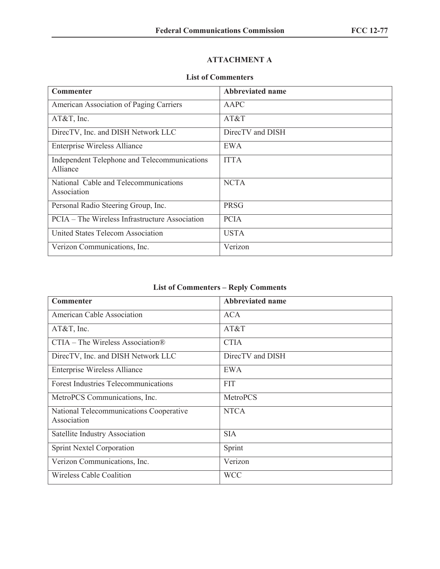# **ATTACHMENT A**

## **List of Commenters**

| <b>Commenter</b>                                         | Abbreviated name |
|----------------------------------------------------------|------------------|
| American Association of Paging Carriers                  | AAPC             |
| $AT&T$ , Inc.                                            | AT&T             |
| DirecTV, Inc. and DISH Network LLC                       | DirecTV and DISH |
| <b>Enterprise Wireless Alliance</b>                      | EWA              |
| Independent Telephone and Telecommunications<br>Alliance | <b>ITTA</b>      |
| National Cable and Telecommunications<br>Association     | <b>NCTA</b>      |
| Personal Radio Steering Group, Inc.                      | <b>PRSG</b>      |
| PCIA – The Wireless Infrastructure Association           | <b>PCIA</b>      |
| United States Telecom Association                        | <b>USTA</b>      |
| Verizon Communications, Inc.                             | Verizon          |

# **List of Commenters – Reply Comments**

| <b>Commenter</b>                                       | <b>Abbreviated name</b> |
|--------------------------------------------------------|-------------------------|
| <b>American Cable Association</b>                      | <b>ACA</b>              |
| $AT&T$ , Inc.                                          | AT&T                    |
| $CTIA$ – The Wireless Association <sup>®</sup>         | <b>CTIA</b>             |
| DirecTV, Inc. and DISH Network LLC                     | DirecTV and DISH        |
| <b>Enterprise Wireless Alliance</b>                    | EWA                     |
| <b>Forest Industries Telecommunications</b>            | <b>FIT</b>              |
| MetroPCS Communications, Inc.                          | MetroPCS                |
| National Telecommunications Cooperative<br>Association | <b>NTCA</b>             |
| Satellite Industry Association                         | <b>SIA</b>              |
| <b>Sprint Nextel Corporation</b>                       | Sprint                  |
| Verizon Communications, Inc.                           | Verizon                 |
| <b>Wireless Cable Coalition</b>                        | <b>WCC</b>              |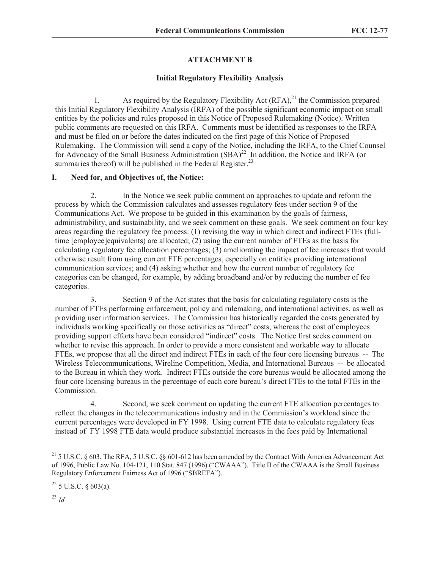# **ATTACHMENT B**

# **Initial Regulatory Flexibility Analysis**

1. As required by the Regulatory Flexibility Act  $(RFA)$ ,<sup>21</sup>, the Commission prepared this Initial Regulatory Flexibility Analysis (IRFA) of the possible significant economic impact on small entities by the policies and rules proposed in this Notice of Proposed Rulemaking (Notice). Written public comments are requested on this IRFA. Comments must be identified as responses to the IRFA and must be filed on or before the dates indicated on the first page of this Notice of Proposed Rulemaking. The Commission will send a copy of the Notice, including the IRFA, to the Chief Counsel for Advocacy of the Small Business Administration (SBA)<sup>22</sup> In addition, the Notice and IRFA (or summaries thereof) will be published in the Federal Register.<sup>23</sup>

# **I. Need for, and Objectives of, the Notice:**

2. In the Notice we seek public comment on approaches to update and reform the process by which the Commission calculates and assesses regulatory fees under section 9 of the Communications Act. We propose to be guided in this examination by the goals of fairness, administrability, and sustainability, and we seek comment on these goals. We seek comment on four key areas regarding the regulatory fee process: (1) revising the way in which direct and indirect FTEs (fulltime [employee]equivalents) are allocated; (2) using the current number of FTEs as the basis for calculating regulatory fee allocation percentages; (3) ameliorating the impact of fee increases that would otherwise result from using current FTE percentages, especially on entities providing international communication services; and (4) asking whether and how the current number of regulatory fee categories can be changed, for example, by adding broadband and/or by reducing the number of fee categories.

3. Section 9 of the Act states that the basis for calculating regulatory costs is the number of FTEs performing enforcement, policy and rulemaking, and international activities, as well as providing user information services. The Commission has historically regarded the costs generated by individuals working specifically on those activities as "direct" costs, whereas the cost of employees providing support efforts have been considered "indirect" costs. The Notice first seeks comment on whether to revise this approach. In order to provide a more consistent and workable way to allocate FTEs, we propose that all the direct and indirect FTEs in each of the four core licensing bureaus -- The Wireless Telecommunications, Wireline Competition, Media, and International Bureaus -- be allocated to the Bureau in which they work. Indirect FTEs outside the core bureaus would be allocated among the four core licensing bureaus in the percentage of each core bureau's direct FTEs to the total FTEs in the Commission.

4. Second, we seek comment on updating the current FTE allocation percentages to reflect the changes in the telecommunications industry and in the Commission's workload since the current percentages were developed in FY 1998. Using current FTE data to calculate regulatory fees instead of FY 1998 FTE data would produce substantial increases in the fees paid by International

<sup>23</sup> *Id.*

<sup>&</sup>lt;sup>21</sup> 5 U.S.C. § 603. The RFA, 5 U.S.C. §§ 601-612 has been amended by the Contract With America Advancement Act of 1996, Public Law No. 104-121, 110 Stat. 847 (1996) ("CWAAA"). Title II of the CWAAA is the Small Business Regulatory Enforcement Fairness Act of 1996 ("SBREFA").

 $^{22}$  5 U.S.C. § 603(a).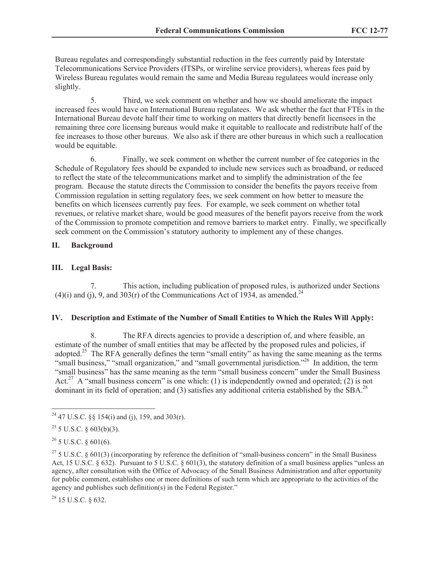Bureau regulates and correspondingly substantial reduction in the fees currently paid by Interstate Telecommunications Service Providers (ITSPs, or wireline service providers), whereas fees paid by Wireless Bureau regulates would remain the same and Media Bureau regulatees would increase only slightly.

5. Third, we seek comment on whether and how we should ameliorate the impact increased fees would have on International Bureau regulatees. We ask whether the fact that FTEs in the International Bureau devote half their time to working on matters that directly benefit licensees in the remaining three core licensing bureaus would make it equitable to reallocate and redistribute half of the fee increases to those other bureaus. We also ask if there are other bureaus in which such a reallocation would be equitable.

6. Finally, we seek comment on whether the current number of fee categories in the Schedule of Regulatory fees should be expanded to include new services such as broadband, or reduced to reflect the state of the telecommunications market and to simplify the administration of the fee program. Because the statute directs the Commission to consider the benefits the payors receive from Commission regulation in setting regulatory fees, we seek comment on how better to measure the benefits on which licensees currently pay fees. For example, we seek comment on whether total revenues, or relative market share, would be good measures of the benefit payors receive from the work of the Commission to promote competition and remove barriers to market entry. Finally, we specifically seek comment on the Commission's statutory authority to implement any of these changes.

## **II. Background**

## **III. Legal Basis:**

7. This action, including publication of proposed rules, is authorized under Sections (4)(i) and (j), 9, and 303(r) of the Communications Act of 1934, as amended.<sup>24</sup>

## **IV. Description and Estimate of the Number of Small Entities to Which the Rules Will Apply:**

8. The RFA directs agencies to provide a description of, and where feasible, an estimate of the number of small entities that may be affected by the proposed rules and policies, if adopted.<sup>25</sup> The RFA generally defines the term "small entity" as having the same meaning as the terms "small business," "small organization," and "small governmental jurisdiction."<sup>26</sup> In addition, the term "small business" has the same meaning as the term "small business concern" under the Small Business Act.<sup>27</sup> A "small business concern" is one which: (1) is independently owned and operated; (2) is not dominant in its field of operation; and (3) satisfies any additional criteria established by the SBA.<sup>28</sup>

 $\overline{a}$ 

<sup>28</sup> 15 U.S.C. § 632.

<sup>&</sup>lt;sup>24</sup> 47 U.S.C. §§ 154(i) and (j), 159, and 303(r).

 $25$  5 U.S.C. § 603(b)(3).

 $^{26}$  5 U.S.C. § 601(6).

<sup>&</sup>lt;sup>27</sup> 5 U.S.C. § 601(3) (incorporating by reference the definition of "small-business concern" in the Small Business Act, 15 U.S.C. § 632). Pursuant to 5 U.S.C. § 601(3), the statutory definition of a small business applies "unless an agency, after consultation with the Office of Advocacy of the Small Business Administration and after opportunity for public comment, establishes one or more definitions of such term which are appropriate to the activities of the agency and publishes such definition(s) in the Federal Register."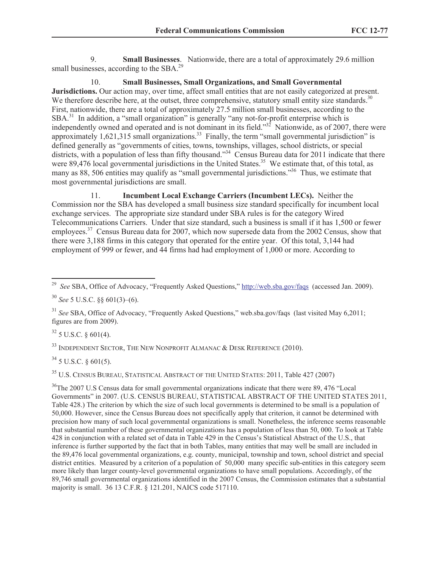9. **Small Businesses**. Nationwide, there are a total of approximately 29.6 million small businesses, according to the  $SBA$ <sup>29</sup>

10. **Small Businesses, Small Organizations, and Small Governmental** 

**Jurisdictions.** Our action may, over time, affect small entities that are not easily categorized at present. We therefore describe here, at the outset, three comprehensive, statutory small entity size standards.<sup>30</sup> First, nationwide, there are a total of approximately 27.5 million small businesses, according to the SBA.<sup>31</sup> In addition, a "small organization" is generally "any not-for-profit enterprise which is independently owned and operated and is not dominant in its field." $32^{\circ}$  Nationwide, as of 2007, there were approximately 1,621,315 small organizations.<sup>33</sup> Finally, the term "small governmental jurisdiction" is defined generally as "governments of cities, towns, townships, villages, school districts, or special districts, with a population of less than fifty thousand."<sup>34</sup> Census Bureau data for 2011 indicate that there were 89,476 local governmental jurisdictions in the United States.<sup>35</sup> We estimate that, of this total, as many as 88, 506 entities may qualify as "small governmental jurisdictions."<sup>36</sup> Thus, we estimate that most governmental jurisdictions are small.

11. **Incumbent Local Exchange Carriers (Incumbent LECs).** Neither the Commission nor the SBA has developed a small business size standard specifically for incumbent local exchange services. The appropriate size standard under SBA rules is for the category Wired Telecommunications Carriers. Under that size standard, such a business is small if it has 1,500 or fewer employees.<sup>37</sup> Census Bureau data for 2007, which now supersede data from the 2002 Census, show that there were 3,188 firms in this category that operated for the entire year. Of this total, 3,144 had employment of 999 or fewer, and 44 firms had had employment of 1,000 or more. According to

 $32$  5 U.S.C.  $\frac{1}{2}$  601(4).

 $\overline{a}$ 

 $33$  INDEPENDENT SECTOR, THE NEW NONPROFIT ALMANAC  $\&$  Desk Reference (2010).

 $34$  5 U.S.C. § 601(5).

<sup>35</sup> U.S. CENSUS BUREAU, STATISTICAL ABSTRACT OF THE UNITED STATES: 2011, Table 427 (2007)

<sup>36</sup>The 2007 U.S Census data for small governmental organizations indicate that there were 89, 476 "Local Governments" in 2007. (U.S. CENSUS BUREAU, STATISTICAL ABSTRACT OF THE UNITED STATES 2011, Table 428.) The criterion by which the size of such local governments is determined to be small is a population of 50,000. However, since the Census Bureau does not specifically apply that criterion, it cannot be determined with precision how many of such local governmental organizations is small. Nonetheless, the inference seems reasonable that substantial number of these governmental organizations has a population of less than 50, 000. To look at Table 428 in conjunction with a related set of data in Table 429 in the Census's Statistical Abstract of the U.S., that inference is further supported by the fact that in both Tables, many entities that may well be small are included in the 89,476 local governmental organizations, e.g. county, municipal, township and town, school district and special district entities. Measured by a criterion of a population of 50,000 many specific sub-entities in this category seem more likely than larger county-level governmental organizations to have small populations. Accordingly, of the 89,746 small governmental organizations identified in the 2007 Census, the Commission estimates that a substantial majority is small. 36 13 C.F.R. § 121.201, NAICS code 517110.

<sup>29</sup> *See* SBA, Office of Advocacy, "Frequently Asked Questions," http://web.sba.gov/faqs (accessed Jan. 2009).

<sup>30</sup> *See* 5 U.S.C. §§ 601(3)–(6).

<sup>&</sup>lt;sup>31</sup> *See* SBA, Office of Advocacy, "Frequently Asked Questions," web.sba.gov/faqs (last visited May 6,2011; figures are from 2009).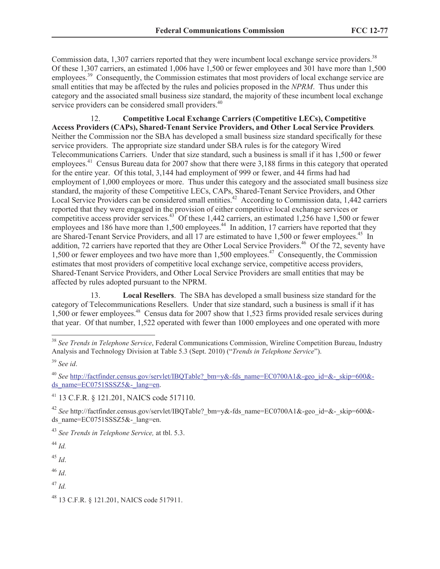Commission data,  $1,307$  carriers reported that they were incumbent local exchange service providers.<sup>38</sup> Of these 1,307 carriers, an estimated 1,006 have 1,500 or fewer employees and 301 have more than 1,500 employees.<sup>39</sup> Consequently, the Commission estimates that most providers of local exchange service are small entities that may be affected by the rules and policies proposed in the *NPRM*. Thus under this category and the associated small business size standard, the majority of these incumbent local exchange service providers can be considered small providers.<sup>40</sup>

12. **Competitive Local Exchange Carriers (Competitive LECs), Competitive Access Providers (CAPs), Shared-Tenant Service Providers, and Other Local Service Providers***.* Neither the Commission nor the SBA has developed a small business size standard specifically for these service providers. The appropriate size standard under SBA rules is for the category Wired Telecommunications Carriers. Under that size standard, such a business is small if it has 1,500 or fewer employees.<sup>41</sup> Census Bureau data for 2007 show that there were 3,188 firms in this category that operated for the entire year. Of this total, 3,144 had employment of 999 or fewer, and 44 firms had had employment of 1,000 employees or more. Thus under this category and the associated small business size standard, the majority of these Competitive LECs, CAPs, Shared-Tenant Service Providers, and Other Local Service Providers can be considered small entities.<sup>42</sup> According to Commission data, 1,442 carriers reported that they were engaged in the provision of either competitive local exchange services or competitive access provider services.<sup>43</sup> Of these 1,442 carriers, an estimated 1,256 have 1,500 or fewer employees and 186 have more than 1,500 employees.<sup>44</sup> In addition, 17 carriers have reported that they are Shared-Tenant Service Providers, and all 17 are estimated to have 1,500 or fewer employees.<sup>45</sup> In addition, 72 carriers have reported that they are Other Local Service Providers.<sup>46</sup> Of the 72, seventy have 1,500 or fewer employees and two have more than 1,500 employees.<sup>47</sup> Consequently, the Commission estimates that most providers of competitive local exchange service, competitive access providers, Shared-Tenant Service Providers, and Other Local Service Providers are small entities that may be affected by rules adopted pursuant to the NPRM.

13. **Local Resellers**. The SBA has developed a small business size standard for the category of Telecommunications Resellers. Under that size standard, such a business is small if it has 1,500 or fewer employees.<sup>48</sup> Census data for 2007 show that 1,523 firms provided resale services during that year. Of that number, 1,522 operated with fewer than 1000 employees and one operated with more

 $\overline{a}$ 

<sup>45</sup> *Id*.

<sup>46</sup> *Id*.

<sup>47</sup> *Id.*

<sup>38</sup> *See Trends in Telephone Service*, Federal Communications Commission, Wireline Competition Bureau, Industry Analysis and Technology Division at Table 5.3 (Sept. 2010) ("*Trends in Telephone Service*").

<sup>39</sup> *See id*.

<sup>&</sup>lt;sup>40</sup> See http://factfinder.census.gov/servlet/IBQTable? bm=y&-fds\_name=EC0700A1&-geo\_id=&-\_skip=600&ds\_name=EC0751SSSZ5&-\_lang=en.

<sup>41</sup> 13 C.F.R. § 121.201, NAICS code 517110.

<sup>&</sup>lt;sup>42</sup> See http://factfinder.census.gov/servlet/IBQTable? bm=y&-fds\_name=EC0700A1&-geo\_id=&-\_skip=600&ds name= $EC0751SSSZ5&-$ lang=en.

<sup>43</sup> *See Trends in Telephone Service,* at tbl. 5.3.

<sup>44</sup> *Id.*

<sup>48</sup> 13 C.F.R. § 121.201, NAICS code 517911.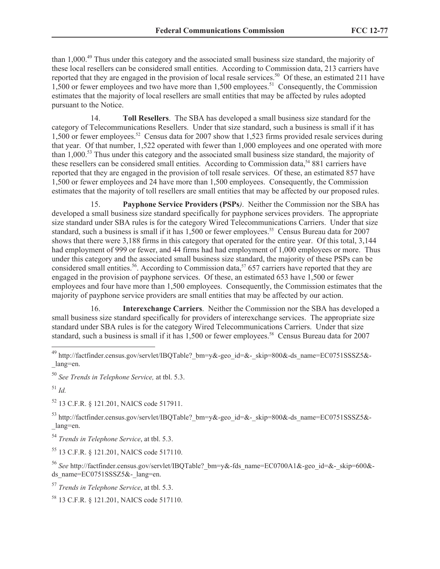than 1,000.<sup>49</sup> Thus under this category and the associated small business size standard, the majority of these local resellers can be considered small entities. According to Commission data, 213 carriers have reported that they are engaged in the provision of local resale services.<sup>50</sup> Of these, an estimated 211 have 1,500 or fewer employees and two have more than 1,500 employees.<sup>51</sup> Consequently, the Commission estimates that the majority of local resellers are small entities that may be affected by rules adopted pursuant to the Notice.

14. **Toll Resellers**. The SBA has developed a small business size standard for the category of Telecommunications Resellers. Under that size standard, such a business is small if it has 1,500 or fewer employees.<sup>52</sup> Census data for 2007 show that 1,523 firms provided resale services during that year. Of that number, 1,522 operated with fewer than 1,000 employees and one operated with more than 1,000.<sup>53</sup> Thus under this category and the associated small business size standard, the majority of these resellers can be considered small entities. According to Commission data,<sup>54</sup> 881 carriers have reported that they are engaged in the provision of toll resale services. Of these, an estimated 857 have 1,500 or fewer employees and 24 have more than 1,500 employees. Consequently, the Commission estimates that the majority of toll resellers are small entities that may be affected by our proposed rules.

15. **Payphone Service Providers (PSPs***)*. Neither the Commission nor the SBA has developed a small business size standard specifically for payphone services providers. The appropriate size standard under SBA rules is for the category Wired Telecommunications Carriers. Under that size standard, such a business is small if it has 1,500 or fewer employees.<sup>55</sup> Census Bureau data for 2007 shows that there were 3,188 firms in this category that operated for the entire year. Of this total, 3,144 had employment of 999 or fewer, and 44 firms had had employment of 1,000 employees or more. Thus under this category and the associated small business size standard, the majority of these PSPs can be considered small entities.<sup>56</sup>. According to Commission data,<sup>57</sup> 657 carriers have reported that they are engaged in the provision of payphone services. Of these, an estimated 653 have 1,500 or fewer employees and four have more than 1,500 employees. Consequently, the Commission estimates that the majority of payphone service providers are small entities that may be affected by our action.

16. **Interexchange Carriers**. Neither the Commission nor the SBA has developed a small business size standard specifically for providers of interexchange services. The appropriate size standard under SBA rules is for the category Wired Telecommunications Carriers. Under that size standard, such a business is small if it has 1,500 or fewer employees.<sup>58</sup> Census Bureau data for 2007

 $\overline{a}$ 

<sup>52</sup> 13 C.F.R. § 121.201, NAICS code 517911.

53 http://factfinder.census.gov/servlet/IBQTable? bm=y&-geo\_id=&-\_skip=800&-ds\_name=EC0751SSSZ5&-\_lang=en.

<sup>54</sup> *Trends in Telephone Service*, at tbl. 5.3.

<sup>55</sup> 13 C.F.R. § 121.201, NAICS code 517110.

<sup>56</sup> *See* http://factfinder.census.gov/servlet/IBQTable?\_bm=y&-fds\_name=EC0700A1&-geo\_id=&-\_skip=600& ds name= $EC0751SSSZ5&-$ lang=en.

<sup>57</sup> *Trends in Telephone Service*, at tbl. 5.3.

<sup>58</sup> 13 C.F.R. § 121.201, NAICS code 517110.

<sup>&</sup>lt;sup>49</sup> http://factfinder.census.gov/servlet/IBQTable?\_bm=y&-geo\_id=&-\_skip=800&-ds\_name=EC0751SSSZ5&-\_lang=en.

<sup>50</sup> *See Trends in Telephone Service,* at tbl. 5.3.

<sup>51</sup> *Id.*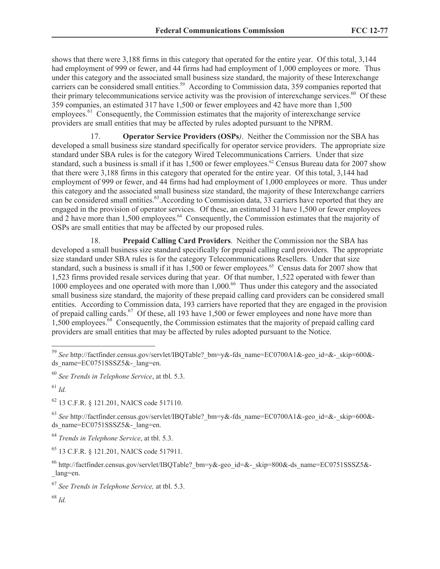shows that there were 3,188 firms in this category that operated for the entire year. Of this total, 3,144 had employment of 999 or fewer, and 44 firms had had employment of 1,000 employees or more. Thus under this category and the associated small business size standard, the majority of these Interexchange carriers can be considered small entities.<sup>59</sup> According to Commission data, 359 companies reported that their primary telecommunications service activity was the provision of interexchange services.<sup>60</sup> Of these 359 companies, an estimated 317 have 1,500 or fewer employees and 42 have more than 1,500 employees.<sup>61</sup> Consequently, the Commission estimates that the majority of interexchange service providers are small entities that may be affected by rules adopted pursuant to the NPRM.

17. **Operator Service Providers (OSPs***)*. Neither the Commission nor the SBA has developed a small business size standard specifically for operator service providers. The appropriate size standard under SBA rules is for the category Wired Telecommunications Carriers. Under that size standard, such a business is small if it has 1,500 or fewer employees.<sup>62</sup> Census Bureau data for 2007 show that there were 3,188 firms in this category that operated for the entire year. Of this total, 3,144 had employment of 999 or fewer, and 44 firms had had employment of 1,000 employees or more. Thus under this category and the associated small business size standard, the majority of these Interexchange carriers can be considered small entities.<sup>63</sup>. According to Commission data, 33 carriers have reported that they are engaged in the provision of operator services. Of these, an estimated 31 have 1,500 or fewer employees and 2 have more than 1,500 employees.<sup>64</sup> Consequently, the Commission estimates that the majority of OSPs are small entities that may be affected by our proposed rules.

18. **Prepaid Calling Card Providers**. Neither the Commission nor the SBA has developed a small business size standard specifically for prepaid calling card providers. The appropriate size standard under SBA rules is for the category Telecommunications Resellers. Under that size standard, such a business is small if it has 1,500 or fewer employees.<sup>65</sup> Census data for 2007 show that 1,523 firms provided resale services during that year. Of that number, 1,522 operated with fewer than 1000 employees and one operated with more than 1,000.<sup>66</sup> Thus under this category and the associated small business size standard, the majority of these prepaid calling card providers can be considered small entities. According to Commission data, 193 carriers have reported that they are engaged in the provision of prepaid calling cards.<sup>67</sup> Of these, all 193 have 1,500 or fewer employees and none have more than 1,500 employees.<sup>68</sup> Consequently, the Commission estimates that the majority of prepaid calling card providers are small entities that may be affected by rules adopted pursuant to the Notice.

 $\overline{a}$ 

<sup>62</sup> 13 C.F.R. § 121.201, NAICS code 517110.

<sup>63</sup> *See* http://factfinder.census.gov/servlet/IBQTable?\_bm=y&-fds\_name=EC0700A1&-geo\_id=&-\_skip=600& ds\_name=EC0751SSSZ5&-\_lang=en.

<sup>64</sup> *Trends in Telephone Service*, at tbl. 5.3.

<sup>65</sup> 13 C.F.R. § 121.201, NAICS code 517911.

<sup>68</sup> *Id.*

<sup>59</sup> *See* http://factfinder.census.gov/servlet/IBQTable?\_bm=y&-fds\_name=EC0700A1&-geo\_id=&-\_skip=600& ds\_name=EC0751SSSZ5&-\_lang=en.

<sup>60</sup> *See Trends in Telephone Service*, at tbl. 5.3.

<sup>61</sup> *Id.*

<sup>&</sup>lt;sup>66</sup> http://factfinder.census.gov/servlet/IBQTable? bm=y&-geo\_id=&-\_skip=800&-ds\_name=EC0751SSSZ5&-\_lang=en.

<sup>67</sup> *See Trends in Telephone Service,* at tbl. 5.3.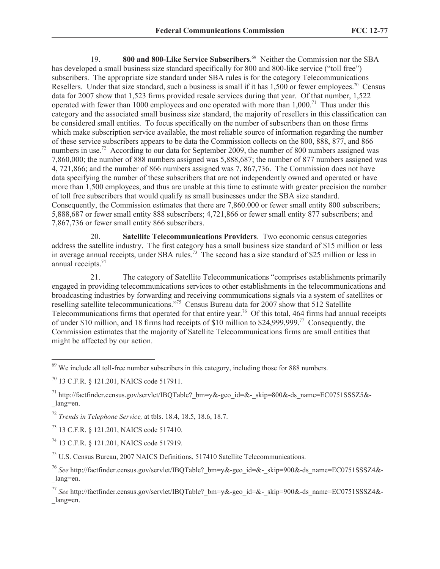19. 800 and 800-Like Service Subscribers.<sup>69</sup> Neither the Commission nor the SBA has developed a small business size standard specifically for 800 and 800-like service ("toll free") subscribers. The appropriate size standard under SBA rules is for the category Telecommunications Resellers. Under that size standard, such a business is small if it has  $1,500$  or fewer employees.<sup>70</sup> Census data for 2007 show that 1,523 firms provided resale services during that year. Of that number, 1,522 operated with fewer than 1000 employees and one operated with more than  $1,000$ .<sup>71</sup> Thus under this category and the associated small business size standard, the majority of resellers in this classification can be considered small entities. To focus specifically on the number of subscribers than on those firms which make subscription service available, the most reliable source of information regarding the number of these service subscribers appears to be data the Commission collects on the 800, 888, 877, and 866 numbers in use.<sup>72</sup> According to our data for September 2009, the number of 800 numbers assigned was 7,860,000; the number of 888 numbers assigned was 5,888,687; the number of 877 numbers assigned was 4, 721,866; and the number of 866 numbers assigned was 7, 867,736. The Commission does not have data specifying the number of these subscribers that are not independently owned and operated or have more than 1,500 employees, and thus are unable at this time to estimate with greater precision the number of toll free subscribers that would qualify as small businesses under the SBA size standard. Consequently, the Commission estimates that there are 7,860.000 or fewer small entity 800 subscribers; 5,888,687 or fewer small entity 888 subscribers; 4,721,866 or fewer small entity 877 subscribers; and 7,867,736 or fewer small entity 866 subscribers.

20. **Satellite Telecommunications Providers**. Two economic census categories address the satellite industry. The first category has a small business size standard of \$15 million or less in average annual receipts, under SBA rules.<sup>73</sup> The second has a size standard of \$25 million or less in annual receipts.<sup>74</sup>

21. The category of Satellite Telecommunications "comprises establishments primarily engaged in providing telecommunications services to other establishments in the telecommunications and broadcasting industries by forwarding and receiving communications signals via a system of satellites or reselling satellite telecommunications."<sup>75</sup> Census Bureau data for 2007 show that 512 Satellite Telecommunications firms that operated for that entire year.<sup>76</sup> Of this total, 464 firms had annual receipts of under \$10 million, and 18 firms had receipts of \$10 million to \$24,999,999.<sup>77</sup> Consequently, the Commission estimates that the majority of Satellite Telecommunications firms are small entities that might be affected by our action.

 $\overline{a}$ 

<sup>73</sup> 13 C.F.R. § 121.201, NAICS code 517410.

<sup>74</sup> 13 C.F.R. § 121.201, NAICS code 517919.

<sup>75</sup> U.S. Census Bureau, 2007 NAICS Definitions, 517410 Satellite Telecommunications.

 $69$  We include all toll-free number subscribers in this category, including those for 888 numbers.

<sup>70</sup> 13 C.F.R. § 121.201, NAICS code 517911.

<sup>&</sup>lt;sup>71</sup> http://factfinder.census.gov/servlet/IBQTable? bm=y&-geo\_id=&-\_skip=800&-ds\_name=EC0751SSSZ5&-\_lang=en.

<sup>72</sup> *Trends in Telephone Service,* at tbls. 18.4, 18.5, 18.6, 18.7.

<sup>&</sup>lt;sup>76</sup> See http://factfinder.census.gov/servlet/IBQTable? bm=y&-geo\_id=&-\_skip=900&-ds\_name=EC0751SSSZ4&-\_lang=en.

<sup>77</sup> *See* http://factfinder.census.gov/servlet/IBQTable?\_bm=y&-geo\_id=&-\_skip=900&-ds\_name=EC0751SSSZ4&- \_lang=en.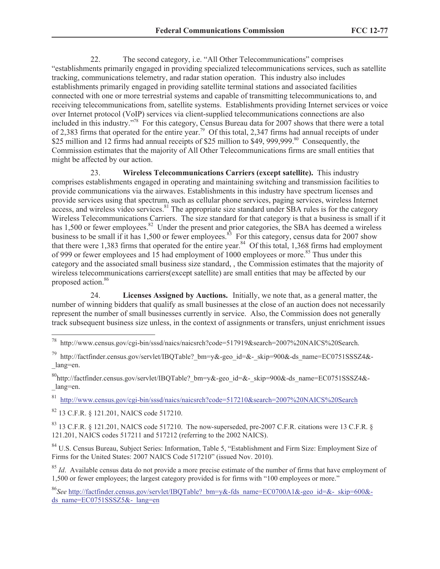22. The second category, i.e. "All Other Telecommunications" comprises "establishments primarily engaged in providing specialized telecommunications services, such as satellite tracking, communications telemetry, and radar station operation. This industry also includes establishments primarily engaged in providing satellite terminal stations and associated facilities connected with one or more terrestrial systems and capable of transmitting telecommunications to, and receiving telecommunications from, satellite systems. Establishments providing Internet services or voice over Internet protocol (VoIP) services via client-supplied telecommunications connections are also included in this industry." 78 For this category, Census Bureau data for 2007 shows that there were a total of 2,383 firms that operated for the entire year.<sup>79</sup> Of this total, 2,347 firms had annual receipts of under \$25 million and 12 firms had annual receipts of \$25 million to \$49, 999,999.<sup>80</sup> Consequently, the Commission estimates that the majority of All Other Telecommunications firms are small entities that might be affected by our action.

23. **Wireless Telecommunications Carriers (except satellite).** This industry comprises establishments engaged in operating and maintaining switching and transmission facilities to provide communications via the airwaves. Establishments in this industry have spectrum licenses and provide services using that spectrum, such as cellular phone services, paging services, wireless Internet access, and wireless video services.<sup>81</sup> The appropriate size standard under SBA rules is for the category Wireless Telecommunications Carriers. The size standard for that category is that a business is small if it has 1,500 or fewer employees.<sup>82</sup> Under the present and prior categories, the SBA has deemed a wireless business to be small if it has 1,500 or fewer employees.<sup>83</sup> For this category, census data for 2007 show that there were 1,383 firms that operated for the entire year.<sup>84</sup> Of this total, 1,368 firms had employment of 999 or fewer employees and 15 had employment of 1000 employees or more.<sup>85</sup> Thus under this category and the associated small business size standard, , the Commission estimates that the majority of wireless telecommunications carriers(except satellite) are small entities that may be affected by our proposed action.<sup>86</sup>

24. **Licenses Assigned by Auctions.** Initially, we note that, as a general matter, the number of winning bidders that qualify as small businesses at the close of an auction does not necessarily represent the number of small businesses currently in service. Also, the Commission does not generally track subsequent business size unless, in the context of assignments or transfers, unjust enrichment issues

81 http://www.census.gov/cgi-bin/sssd/naics/naicsrch?code=517210&search=2007%20NAICS%20Search

<sup>82</sup> 13 C.F.R. § 121.201, NAICS code 517210.

 $\overline{a}$ 

 $83$  13 C.F.R. § 121.201, NAICS code 517210. The now-superseded, pre-2007 C.F.R. citations were 13 C.F.R. § 121.201, NAICS codes 517211 and 517212 (referring to the 2002 NAICS).

<sup>84</sup> U.S. Census Bureau, Subject Series: Information, Table 5, "Establishment and Firm Size: Employment Size of Firms for the United States: 2007 NAICS Code 517210" (issued Nov. 2010).

<sup>85</sup> *Id.* Available census data do not provide a more precise estimate of the number of firms that have employment of 1,500 or fewer employees; the largest category provided is for firms with "100 employees or more."

<sup>78</sup> http://www.census.gov/cgi-bin/sssd/naics/naicsrch?code=517919&search=2007%20NAICS%20Search.

<sup>&</sup>lt;sup>79</sup> http://factfinder.census.gov/servlet/IBQTable?\_bm=y&-geo\_id=&-\_skip=900&-ds\_name=EC0751SSSZ4&-\_lang=en.

 $^{80}$ http://factfinder.census.gov/servlet/IBQTable? bm=y&-geo\_id=&-\_skip=900&-ds\_name=EC0751SSSZ4&-\_lang=en.

<sup>86</sup>*See* http://factfinder.census.gov/servlet/IBQTable?\_bm=y&-fds\_name=EC0700A1&-geo\_id=&-\_skip=600& ds\_name=EC0751SSSZ5&-\_lang=en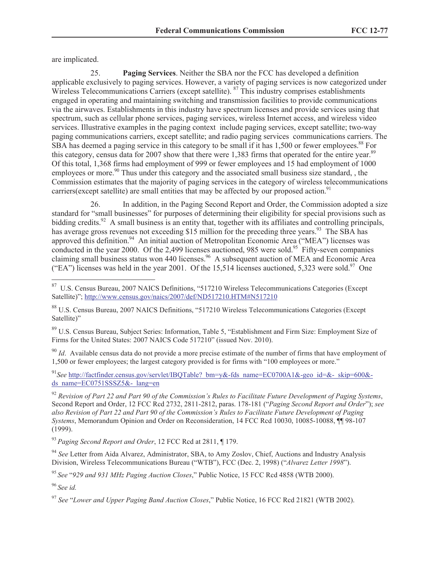are implicated.

25. **Paging Services**. Neither the SBA nor the FCC has developed a definition applicable exclusively to paging services. However, a variety of paging services is now categorized under Wireless Telecommunications Carriers (except satellite). <sup>87</sup> This industry comprises establishments engaged in operating and maintaining switching and transmission facilities to provide communications via the airwaves. Establishments in this industry have spectrum licenses and provide services using that spectrum, such as cellular phone services, paging services, wireless Internet access, and wireless video services. Illustrative examples in the paging context include paging services, except satellite; two-way paging communications carriers, except satellite; and radio paging services communications carriers. The SBA has deemed a paging service in this category to be small if it has 1,500 or fewer employees.<sup>88</sup> For this category, census data for 2007 show that there were 1,383 firms that operated for the entire year.<sup>89</sup> Of this total, 1,368 firms had employment of 999 or fewer employees and 15 had employment of 1000 employees or more.<sup>90</sup> Thus under this category and the associated small business size standard, , the Commission estimates that the majority of paging services in the category of wireless telecommunications carriers(except satellite) are small entities that may be affected by our proposed action.<sup>91</sup>

26. In addition, in the Paging Second Report and Order, the Commission adopted a size standard for "small businesses" for purposes of determining their eligibility for special provisions such as bidding credits.<sup>92</sup> A small business is an entity that, together with its affiliates and controlling principals, has average gross revenues not exceeding \$15 million for the preceding three years.<sup>93</sup> The SBA has approved this definition.<sup>94</sup> An initial auction of Metropolitan Economic Area ("MEA") licenses was conducted in the year 2000. Of the 2,499 licenses auctioned, 985 were sold.<sup>95</sup> Fifty-seven companies claiming small business status won 440 licenses.<sup>96</sup> A subsequent auction of MEA and Economic Area ("EA") licenses was held in the year 2001. Of the 15,514 licenses auctioned, 5,323 were sold.<sup>97</sup> One

<sup>89</sup> U.S. Census Bureau, Subject Series: Information, Table 5, "Establishment and Firm Size: Employment Size of Firms for the United States: 2007 NAICS Code 517210" (issued Nov. 2010).

<sup>90</sup> *Id*. Available census data do not provide a more precise estimate of the number of firms that have employment of 1,500 or fewer employees; the largest category provided is for firms with "100 employees or more."

<sup>91</sup>See http://factfinder.census.gov/servlet/IBQTable? bm=y&-fds\_name=EC0700A1&-geo\_id=&-\_skip=600&ds\_name=EC0751SSSZ5&-\_lang=en

<sup>92</sup> *Revision of Part 22 and Part 90 of the Commission's Rules to Facilitate Future Development of Paging Systems*, Second Report and Order, 12 FCC Rcd 2732, 2811-2812, paras. 178-181 ("*Paging Second Report and Order*"); *see also Revision of Part 22 and Part 90 of the Commission's Rules to Facilitate Future Development of Paging Systems*, Memorandum Opinion and Order on Reconsideration, 14 FCC Rcd 10030, 10085-10088, ¶¶ 98-107 (1999).

<sup>93</sup> *Paging Second Report and Order*, 12 FCC Rcd at 2811, ¶ 179.

<sup>94</sup> *See* Letter from Aida Alvarez, Administrator, SBA, to Amy Zoslov, Chief, Auctions and Industry Analysis Division, Wireless Telecommunications Bureau ("WTB"), FCC (Dec. 2, 1998) ("*Alvarez Letter 1998*").

<sup>95</sup> *See* "*929 and 931 MHz Paging Auction Closes*," Public Notice, 15 FCC Rcd 4858 (WTB 2000).

<sup>96</sup> *See id.*

 87 U.S. Census Bureau, 2007 NAICS Definitions, "517210 Wireless Telecommunications Categories (Except Satellite)"; http://www.census.gov/naics/2007/def/ND517210.HTM#N517210

<sup>88</sup> U.S. Census Bureau, 2007 NAICS Definitions, "517210 Wireless Telecommunications Categories (Except Satellite)"

<sup>97</sup> *See* "*Lower and Upper Paging Band Auction Closes*," Public Notice, 16 FCC Rcd 21821 (WTB 2002).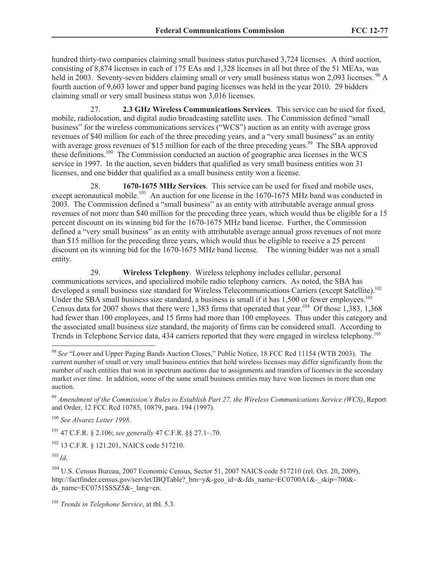hundred thirty-two companies claiming small business status purchased 3,724 licenses. A third auction, consisting of 8,874 licenses in each of 175 EAs and 1,328 licenses in all but three of the 51 MEAs, was held in 2003. Seventy-seven bidders claiming small or very small business status won 2,093 licenses. <sup>98</sup> A fourth auction of 9,603 lower and upper band paging licenses was held in the year 2010. 29 bidders claiming small or very small business status won 3,016 licenses.

27. **2.3 GHz Wireless Communications Services**. This service can be used for fixed, mobile, radiolocation, and digital audio broadcasting satellite uses. The Commission defined "small business" for the wireless communications services ("WCS") auction as an entity with average gross revenues of \$40 million for each of the three preceding years, and a "very small business" as an entity with average gross revenues of \$15 million for each of the three preceding years.<sup>99</sup> The SBA approved these definitions.<sup>100</sup> The Commission conducted an auction of geographic area licenses in the  $\hat{W}$ CS service in 1997. In the auction, seven bidders that qualified as very small business entities won 31 licenses, and one bidder that qualified as a small business entity won a license.

28. **1670-1675 MHz Services**. This service can be used for fixed and mobile uses, except aeronautical mobile.<sup>101</sup> An auction for one license in the 1670-1675 MHz band was conducted in 2003. The Commission defined a "small business" as an entity with attributable average annual gross revenues of not more than \$40 million for the preceding three years, which would thus be eligible for a 15 percent discount on its winning bid for the 1670-1675 MHz band license. Further, the Commission defined a "very small business" as an entity with attributable average annual gross revenues of not more than \$15 million for the preceding three years, which would thus be eligible to receive a 25 percent discount on its winning bid for the 1670-1675 MHz band license. The winning bidder was not a small entity.

29. **Wireless Telephony**. Wireless telephony includes cellular, personal communications services, and specialized mobile radio telephony carriers. As noted, the SBA has developed a small business size standard for Wireless Telecommunications Carriers (except Satellite).<sup>102</sup> Under the SBA small business size standard, a business is small if it has 1,500 or fewer employees.<sup>103</sup> Census data for 2007 shows that there were 1,383 firms that operated that year.<sup>104</sup> Of those 1,383, 1,368 had fewer than 100 employees, and 15 firms had more than 100 employees. Thus under this category and the associated small business size standard, the majority of firms can be considered small. According to Trends in Telephone Service data, 434 carriers reported that they were engaged in wireless telephony.<sup>105</sup>

<sup>101</sup> 47 C.F.R. § 2.106; *see generally* 47 C.F.R. §§ 27.1–.70.

<sup>102</sup> 13 C.F.R. § 121.201, NAICS code 517210.

<sup>103</sup> *Id*.

 $\overline{a}$ 

<sup>104</sup> U.S. Census Bureau, 2007 Economic Census, Sector 51, 2007 NAICS code 517210 (rel. Oct. 20, 2009), http://factfinder.census.gov/servlet/IBOTable? bm=y&-geo\_id=&-fds\_name=EC0700A1&-\_skip=700&ds\_name=EC0751SSSZ5&-\_lang=en.

<sup>98</sup> *See* "Lower and Upper Paging Bands Auction Closes," Public Notice, 18 FCC Rcd 11154 (WTB 2003). The current number of small or very small business entities that hold wireless licenses may differ significantly from the number of such entities that won in spectrum auctions due to assignments and transfers of licenses in the secondary market over time. In addition, some of the same small business entities may have won licenses in more than one auction.

<sup>99</sup> *Amendment of the Commission's Rules to Establish Part 27, the Wireless Communications Service (WCS)*, Report and Order, 12 FCC Rcd 10785, 10879, para. 194 (1997).

<sup>100</sup> *See Alvarez Letter 1998*.

<sup>105</sup> *Trends in Telephone Service*, at tbl. 5.3.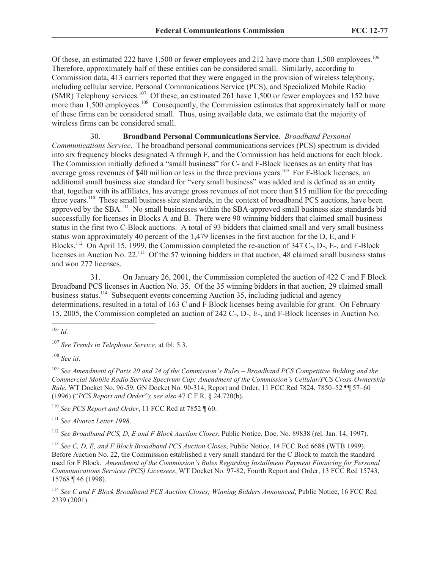Of these, an estimated 222 have 1,500 or fewer employees and 212 have more than 1,500 employees.<sup>106</sup> Therefore, approximately half of these entities can be considered small. Similarly, according to Commission data, 413 carriers reported that they were engaged in the provision of wireless telephony, including cellular service, Personal Communications Service (PCS), and Specialized Mobile Radio  $(SMR)$  Telephony services.<sup>107</sup> Of these, an estimated 261 have 1,500 or fewer employees and 152 have more than 1,500 employees.<sup>108</sup> Consequently, the Commission estimates that approximately half or more of these firms can be considered small. Thus, using available data, we estimate that the majority of wireless firms can be considered small.

30. **Broadband Personal Communications Service**. *Broadband Personal Communications Service*. The broadband personal communications services (PCS) spectrum is divided into six frequency blocks designated A through F, and the Commission has held auctions for each block. The Commission initially defined a "small business" for C- and F-Block licenses as an entity that has average gross revenues of \$40 million or less in the three previous years.<sup>109</sup> For F-Block licenses, an additional small business size standard for "very small business" was added and is defined as an entity that, together with its affiliates, has average gross revenues of not more than \$15 million for the preceding three years.<sup>110</sup> These small business size standards, in the context of broadband PCS auctions, have been approved by the SBA.<sup>111</sup> No small businesses within the SBA-approved small business size standards bid successfully for licenses in Blocks A and B. There were 90 winning bidders that claimed small business status in the first two C-Block auctions. A total of 93 bidders that claimed small and very small business status won approximately 40 percent of the 1,479 licenses in the first auction for the D, E, and F Blocks.<sup>112</sup> On April 15, 1999, the Commission completed the re-auction of 347 C-, D-, E-, and F-Block licenses in Auction No. 22.<sup>113</sup> Of the 57 winning bidders in that auction, 48 claimed small business status and won 277 licenses.

31. On January 26, 2001, the Commission completed the auction of 422 C and F Block Broadband PCS licenses in Auction No. 35. Of the 35 winning bidders in that auction, 29 claimed small business status.<sup>114</sup> Subsequent events concerning Auction 35, including judicial and agency determinations, resulted in a total of 163 C and F Block licenses being available for grant. On February 15, 2005, the Commission completed an auction of 242 C-, D-, E-, and F-Block licenses in Auction No.

<sup>107</sup> *See Trends in Telephone Service,* at tbl. 5.3.

<sup>108</sup> *See id*.

<sup>109</sup> *See Amendment of Parts 20 and 24 of the Commission's Rules – Broadband PCS Competitive Bidding and the Commercial Mobile Radio Service Spectrum Cap; Amendment of the Commission's Cellular/PCS Cross-Ownership Rule*, WT Docket No. 96-59, GN Docket No. 90-314, Report and Order, 11 FCC Rcd 7824, 7850–52 ¶¶ 57–60 (1996) ("*PCS Report and Order*"); *see also* 47 C.F.R. § 24.720(b).

<sup>110</sup> *See PCS Report and Order*, 11 FCC Rcd at 7852 ¶ 60.

<sup>111</sup> *See Alvarez Letter 1998*.

<sup>112</sup> *See Broadband PCS, D, E and F Block Auction Closes*, Public Notice, Doc. No. 89838 (rel. Jan. 14, 1997).

<sup>113</sup> *See C, D, E, and F Block Broadband PCS Auction Closes*, Public Notice, 14 FCC Rcd 6688 (WTB 1999). Before Auction No. 22, the Commission established a very small standard for the C Block to match the standard used for F Block. *Amendment of the Commission's Rules Regarding Installment Payment Financing for Personal Communications Services (PCS) Licensees*, WT Docket No. 97-82, Fourth Report and Order, 13 FCC Rcd 15743, 15768 ¶ 46 (1998).

<sup>114</sup> *See C and F Block Broadband PCS Auction Closes; Winning Bidders Announced*, Public Notice, 16 FCC Rcd 2339 (2001).

 $\overline{a}$ <sup>106</sup> *Id.*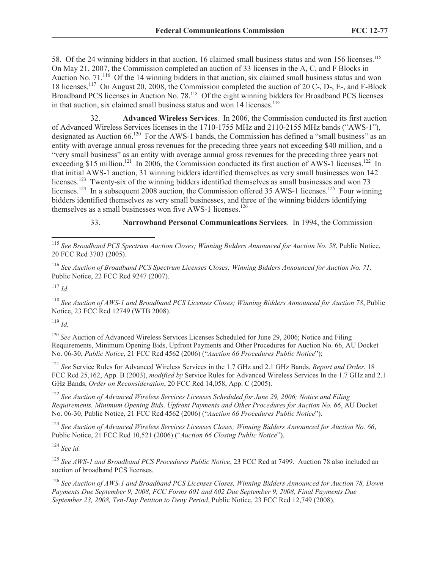58. Of the 24 winning bidders in that auction, 16 claimed small business status and won 156 licenses.<sup>115</sup> On May 21, 2007, the Commission completed an auction of 33 licenses in the A, C, and F Blocks in Auction No. 71.<sup>116</sup> Of the 14 winning bidders in that auction, six claimed small business status and won 18 licenses.<sup>117</sup> On August 20, 2008, the Commission completed the auction of 20 C-, D-, E-, and F-Block Broadband PCS licenses in Auction No. 78.<sup>118</sup> Of the eight winning bidders for Broadband PCS licenses in that auction, six claimed small business status and won 14 licenses.<sup>119</sup>

32. **Advanced Wireless Services**. In 2006, the Commission conducted its first auction of Advanced Wireless Services licenses in the 1710-1755 MHz and 2110-2155 MHz bands ("AWS-1"), designated as Auction 66.<sup>120</sup> For the AWS-1 bands, the Commission has defined a "small business" as an entity with average annual gross revenues for the preceding three years not exceeding \$40 million, and a "very small business" as an entity with average annual gross revenues for the preceding three years not exceeding \$15 million.<sup>121</sup> In 2006, the Commission conducted its first auction of AWS-1 licenses.<sup>122</sup> In that initial AWS-1 auction, 31 winning bidders identified themselves as very small businesses won 142 licenses.<sup>123</sup> Twenty-six of the winning bidders identified themselves as small businesses and won 73 licenses.<sup>124</sup> In a subsequent 2008 auction, the Commission offered 35 AWS-1 licenses.<sup>125</sup> Four winning bidders identified themselves as very small businesses, and three of the winning bidders identifying themselves as a small businesses won five AWS-1 licenses.<sup>126</sup>

33. **Narrowband Personal Communications Services**. In 1994, the Commission

<sup>116</sup> *See Auction of Broadband PCS Spectrum Licenses Closes; Winning Bidders Announced for Auction No. 71,* Public Notice, 22 FCC Rcd 9247 (2007).

 $^{117}$  *Id*.

 $\overline{a}$ 

<sup>118</sup> *See Auction of AWS-1 and Broadband PCS Licenses Closes; Winning Bidders Announced for Auction 78*, Public Notice, 23 FCC Rcd 12749 (WTB 2008).

<sup>119</sup> *Id.*

<sup>120</sup> *See* Auction of Advanced Wireless Services Licenses Scheduled for June 29, 2006; Notice and Filing Requirements, Minimum Opening Bids, Upfront Payments and Other Procedures for Auction No. 66, AU Docket No. 06-30, *Public Notice*, 21 FCC Rcd 4562 (2006) ("*Auction 66 Procedures Public Notice*");

<sup>121</sup> *See* Service Rules for Advanced Wireless Services in the 1.7 GHz and 2.1 GHz Bands, *Report and Order*, 18 FCC Rcd 25,162, App. B (2003), *modified by* Service Rules for Advanced Wireless Services In the 1.7 GHz and 2.1 GHz Bands, *Order on Reconsideration*, 20 FCC Rcd 14,058, App. C (2005).

<sup>122</sup> *See Auction of Advanced Wireless Services Licenses Scheduled for June 29, 2006; Notice and Filing Requirements, Minimum Opening Bids, Upfront Payments and Other Procedures for Auction No. 66*, AU Docket No. 06-30, Public Notice, 21 FCC Rcd 4562 (2006) ("*Auction 66 Procedures Public Notice*").

<sup>123</sup> *See Auction of Advanced Wireless Services Licenses Closes; Winning Bidders Announced for Auction No. 66*, Public Notice, 21 FCC Rcd 10,521 (2006) ("*Auction 66 Closing Public Notice*").

<sup>124</sup> *See id.*

<sup>125</sup> *See AWS-1 and Broadband PCS Procedures Public Notice*, 23 FCC Rcd at 7499. Auction 78 also included an auction of broadband PCS licenses.

<sup>126</sup> *See Auction of AWS-1 and Broadband PCS Licenses Closes, Winning Bidders Announced for Auction 78, Down Payments Due September 9, 2008, FCC Forms 601 and 602 Due September 9, 2008, Final Payments Due September 23, 2008, Ten-Day Petition to Deny Period*, Public Notice, 23 FCC Rcd 12,749 (2008).

<sup>115</sup> *See Broadband PCS Spectrum Auction Closes; Winning Bidders Announced for Auction No. 58*, Public Notice, 20 FCC Rcd 3703 (2005).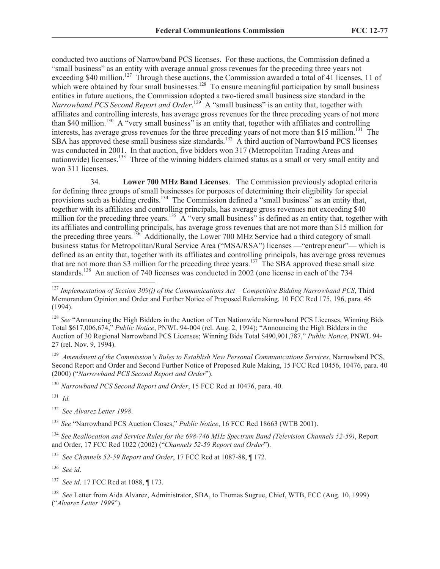conducted two auctions of Narrowband PCS licenses. For these auctions, the Commission defined a "small business" as an entity with average annual gross revenues for the preceding three years not exceeding \$40 million.<sup>127</sup> Through these auctions, the Commission awarded a total of 41 licenses, 11 of which were obtained by four small businesses.<sup>128</sup> To ensure meaningful participation by small business entities in future auctions, the Commission adopted a two-tiered small business size standard in the Narrowband PCS Second Report and Order.<sup>129</sup> A "small business" is an entity that, together with affiliates and controlling interests, has average gross revenues for the three preceding years of not more than \$40 million.<sup>130</sup> A "very small business" is an entity that, together with affiliates and controlling interests, has average gross revenues for the three preceding years of not more than \$15 million.<sup>131</sup> The SBA has approved these small business size standards.<sup>132</sup> A third auction of Narrowband PCS licenses was conducted in 2001. In that auction, five bidders won 317 (Metropolitan Trading Areas and nationwide) licenses.<sup>133</sup> Three of the winning bidders claimed status as a small or very small entity and won 311 licenses.

34. **Lower 700 MHz Band Licenses**. The Commission previously adopted criteria for defining three groups of small businesses for purposes of determining their eligibility for special provisions such as bidding credits.<sup>134</sup> The Commission defined a "small business" as an entity that, together with its affiliates and controlling principals, has average gross revenues not exceeding \$40 million for the preceding three years.<sup>135</sup> A "very small business" is defined as an entity that, together with its affiliates and controlling principals, has average gross revenues that are not more than \$15 million for the preceding three years.<sup>136</sup> Additionally, the Lower 700 MHz Service had a third category of small business status for Metropolitan/Rural Service Area ("MSA/RSA") licenses —"entrepreneur"— which is defined as an entity that, together with its affiliates and controlling principals, has average gross revenues that are not more than \$3 million for the preceding three years.<sup>137</sup> The SBA approved these small size standards.<sup>138</sup> An auction of 740 licenses was conducted in 2002 (one license in each of the 734

<sup>128</sup> See "Announcing the High Bidders in the Auction of Ten Nationwide Narrowband PCS Licenses, Winning Bids Total \$617,006,674," *Public Notice*, PNWL 94-004 (rel. Aug. 2, 1994); "Announcing the High Bidders in the Auction of 30 Regional Narrowband PCS Licenses; Winning Bids Total \$490,901,787," *Public Notice*, PNWL 94- 27 (rel. Nov. 9, 1994).

129 *Amendment of the Commission's Rules to Establish New Personal Communications Services*, Narrowband PCS, Second Report and Order and Second Further Notice of Proposed Rule Making, 15 FCC Rcd 10456, 10476, para. 40 (2000) ("*Narrowband PCS Second Report and Order*").

<sup>130</sup>*Narrowband PCS Second Report and Order*, 15 FCC Rcd at 10476, para. 40.

131 *Id.*

 $\overline{a}$ 

132 *See Alvarez Letter 1998*.

<sup>133</sup>*See* "Narrowband PCS Auction Closes," *Public Notice*, 16 FCC Rcd 18663 (WTB 2001).

<sup>134</sup>*See Reallocation and Service Rules for the 698-746 MHz Spectrum Band (Television Channels 52-59)*, Report and Order, 17 FCC Rcd 1022 (2002) ("*Channels 52-59 Report and Order*").

135 *See Channels 52-59 Report and Order*, 17 FCC Rcd at 1087-88, ¶ 172.

136 *See id*.

137 *See id,* 17 FCC Rcd at 1088, ¶ 173.

<sup>138</sup> See Letter from Aida Alvarez, Administrator, SBA, to Thomas Sugrue, Chief, WTB, FCC (Aug. 10, 1999) ("*Alvarez Letter 1999*").

<sup>127</sup> *Implementation of Section 309(j) of the Communications Act – Competitive Bidding Narrowband PCS*, Third Memorandum Opinion and Order and Further Notice of Proposed Rulemaking, 10 FCC Rcd 175, 196, para. 46 (1994).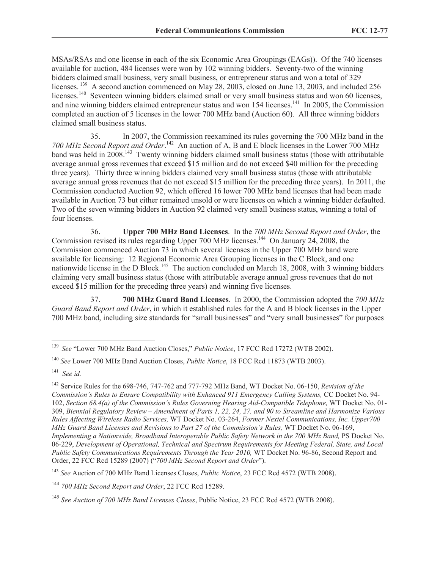MSAs/RSAs and one license in each of the six Economic Area Groupings (EAGs)). Of the 740 licenses available for auction, 484 licenses were won by 102 winning bidders. Seventy-two of the winning bidders claimed small business, very small business, or entrepreneur status and won a total of 329 licenses.<sup>139</sup> A second auction commenced on May 28, 2003, closed on June 13, 2003, and included 256 licenses.<sup>140</sup> Seventeen winning bidders claimed small or very small business status and won 60 licenses, and nine winning bidders claimed entrepreneur status and won 154 licenses.<sup>141</sup> In 2005, the Commission completed an auction of 5 licenses in the lower 700 MHz band (Auction 60). All three winning bidders claimed small business status.

35. In 2007, the Commission reexamined its rules governing the 700 MHz band in the 700 MHz Second Report and Order.<sup>142</sup> An auction of A, B and E block licenses in the Lower 700 MHz band was held in 2008.<sup>143</sup> Twenty winning bidders claimed small business status (those with attributable average annual gross revenues that exceed \$15 million and do not exceed \$40 million for the preceding three years). Thirty three winning bidders claimed very small business status (those with attributable average annual gross revenues that do not exceed \$15 million for the preceding three years). In 2011, the Commission conducted Auction 92, which offered 16 lower 700 MHz band licenses that had been made available in Auction 73 but either remained unsold or were licenses on which a winning bidder defaulted. Two of the seven winning bidders in Auction 92 claimed very small business status, winning a total of four licenses.

36. **Upper 700 MHz Band Licenses**. In the *700 MHz Second Report and Order*, the Commission revised its rules regarding Upper 700 MHz licenses.<sup>144</sup> On January 24, 2008, the Commission commenced Auction 73 in which several licenses in the Upper 700 MHz band were available for licensing: 12 Regional Economic Area Grouping licenses in the C Block, and one nationwide license in the D Block.<sup>145</sup> The auction concluded on March 18, 2008, with 3 winning bidders claiming very small business status (those with attributable average annual gross revenues that do not exceed \$15 million for the preceding three years) and winning five licenses.

37. **700 MHz Guard Band Licenses**. In 2000, the Commission adopted the *700 MHz Guard Band Report and Order*, in which it established rules for the A and B block licenses in the Upper 700 MHz band, including size standards for "small businesses" and "very small businesses" for purposes

<sup>139</sup> *See* "Lower 700 MHz Band Auction Closes," *Public Notice*, 17 FCC Rcd 17272 (WTB 2002).

<sup>140</sup> *See* Lower 700 MHz Band Auction Closes, *Public Notice*, 18 FCC Rcd 11873 (WTB 2003).

<sup>141</sup> *See id.*

<sup>142</sup> Service Rules for the 698-746, 747-762 and 777-792 MHz Band, WT Docket No. 06-150, *Revision of the Commission's Rules to Ensure Compatibility with Enhanced 911 Emergency Calling Systems,* CC Docket No. 94- 102, *Section 68.4(a) of the Commission's Rules Governing Hearing Aid-Compatible Telephone,* WT Docket No. 01- 309, *Biennial Regulatory Review – Amendment of Parts 1, 22, 24, 27, and 90 to Streamline and Harmonize Various Rules Affecting Wireless Radio Services,* WT Docket No. 03-264, *Former Nextel Communications, Inc. Upper700 MHz Guard Band Licenses and Revisions to Part 27 of the Commission's Rules,* WT Docket No. 06-169, *Implementing a Nationwide, Broadband Interoperable Public Safety Network in the 700 MHz Band,* PS Docket No. 06-229, *Development of Operational, Technical and Spectrum Requirements for Meeting Federal, State, and Local Public Safety Communications Requirements Through the Year 2010, WT Docket No. 96-86, Second Report and* Order, 22 FCC Rcd 15289 (2007) ("*700 MHz Second Report and Order*").

<sup>143</sup> *See* Auction of 700 MHz Band Licenses Closes, *Public Notice*, 23 FCC Rcd 4572 (WTB 2008).

<sup>144</sup> *700 MHz Second Report and Order*, 22 FCC Rcd 15289.

<sup>145</sup> *See Auction of 700 MHz Band Licenses Closes*, Public Notice, 23 FCC Rcd 4572 (WTB 2008).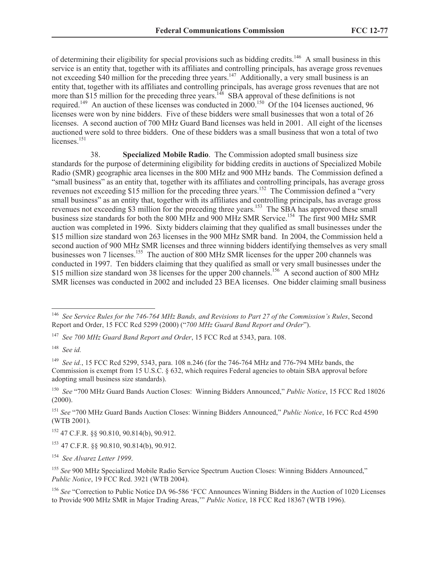of determining their eligibility for special provisions such as bidding credits.<sup>146</sup> A small business in this service is an entity that, together with its affiliates and controlling principals, has average gross revenues not exceeding \$40 million for the preceding three years.<sup>147</sup> Additionally, a very small business is an entity that, together with its affiliates and controlling principals, has average gross revenues that are not more than \$15 million for the preceding three years.<sup>148</sup> SBA approval of these definitions is not required.<sup>149</sup> An auction of these licenses was conducted in 2000.<sup>150</sup> Of the 104 licenses auctioned, 96 licenses were won by nine bidders. Five of these bidders were small businesses that won a total of 26 licenses. A second auction of 700 MHz Guard Band licenses was held in 2001. All eight of the licenses auctioned were sold to three bidders. One of these bidders was a small business that won a total of two licenses.<sup>151</sup>

38. **Specialized Mobile Radio**. The Commission adopted small business size standards for the purpose of determining eligibility for bidding credits in auctions of Specialized Mobile Radio (SMR) geographic area licenses in the 800 MHz and 900 MHz bands. The Commission defined a "small business" as an entity that, together with its affiliates and controlling principals, has average gross revenues not exceeding \$15 million for the preceding three years.<sup>152</sup> The Commission defined a "very small business" as an entity that, together with its affiliates and controlling principals, has average gross revenues not exceeding \$3 million for the preceding three years.<sup>153</sup> The SBA has approved these small business size standards for both the 800 MHz and 900 MHz SMR Service.<sup>154</sup> The first 900 MHz SMR auction was completed in 1996. Sixty bidders claiming that they qualified as small businesses under the \$15 million size standard won 263 licenses in the 900 MHz SMR band. In 2004, the Commission held a second auction of 900 MHz SMR licenses and three winning bidders identifying themselves as very small businesses won 7 licenses.<sup>155</sup> The auction of 800 MHz SMR licenses for the upper 200 channels was conducted in 1997. Ten bidders claiming that they qualified as small or very small businesses under the \$15 million size standard won 38 licenses for the upper 200 channels.<sup>156</sup> A second auction of 800 MHz SMR licenses was conducted in 2002 and included 23 BEA licenses. One bidder claiming small business

<sup>146</sup> *See Service Rules for the 746-764 MHz Bands, and Revisions to Part 27 of the Commission's Rules*, Second Report and Order, 15 FCC Rcd 5299 (2000) ("*700 MHz Guard Band Report and Order*").

<sup>147</sup>  *See 700 MHz Guard Band Report and Order*, 15 FCC Rcd at 5343, para. 108.

<sup>148</sup>  *See id.*

<sup>149</sup>*See id.*, 15 FCC Rcd 5299, 5343, para. 108 n.246 (for the 746-764 MHz and 776-794 MHz bands, the Commission is exempt from 15 U.S.C. § 632, which requires Federal agencies to obtain SBA approval before adopting small business size standards).

<sup>150</sup>  *See* "700 MHz Guard Bands Auction Closes: Winning Bidders Announced," *Public Notice*, 15 FCC Rcd 18026 (2000).

<sup>151</sup> *See* "700 MHz Guard Bands Auction Closes: Winning Bidders Announced," *Public Notice*, 16 FCC Rcd 4590 (WTB 2001).

<sup>152</sup> 47 C.F.R. §§ 90.810, 90.814(b), 90.912.

<sup>153</sup>47 C.F.R. §§ 90.810, 90.814(b), 90.912.

<sup>154</sup>  *See Alvarez Letter 1999*.

<sup>&</sup>lt;sup>155</sup> See 900 MHz Specialized Mobile Radio Service Spectrum Auction Closes: Winning Bidders Announced," *Public Notice*, 19 FCC Rcd. 3921 (WTB 2004).

<sup>&</sup>lt;sup>156</sup> See "Correction to Public Notice DA 96-586 'FCC Announces Winning Bidders in the Auction of 1020 Licenses to Provide 900 MHz SMR in Major Trading Areas,'" *Public Notice*, 18 FCC Rcd 18367 (WTB 1996).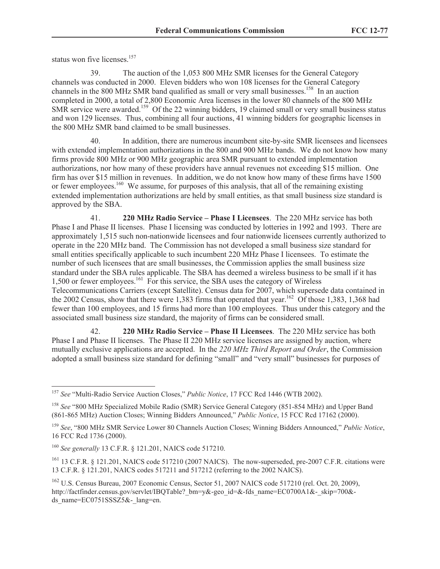status won five licenses.<sup>157</sup>

39. The auction of the 1,053 800 MHz SMR licenses for the General Category channels was conducted in 2000. Eleven bidders who won 108 licenses for the General Category channels in the 800 MHz SMR band qualified as small or very small businesses.<sup>158</sup> In an auction completed in 2000, a total of 2,800 Economic Area licenses in the lower 80 channels of the 800 MHz SMR service were awarded.<sup>159</sup> Of the 22 winning bidders, 19 claimed small or very small business status and won 129 licenses. Thus, combining all four auctions, 41 winning bidders for geographic licenses in the 800 MHz SMR band claimed to be small businesses.

40. In addition, there are numerous incumbent site-by-site SMR licensees and licensees with extended implementation authorizations in the 800 and 900 MHz bands. We do not know how many firms provide 800 MHz or 900 MHz geographic area SMR pursuant to extended implementation authorizations, nor how many of these providers have annual revenues not exceeding \$15 million. One firm has over \$15 million in revenues. In addition, we do not know how many of these firms have 1500 or fewer employees.<sup>160</sup> We assume, for purposes of this analysis, that all of the remaining existing extended implementation authorizations are held by small entities, as that small business size standard is approved by the SBA.

41. **220 MHz Radio Service – Phase I Licensees**. The 220 MHz service has both Phase I and Phase II licenses. Phase I licensing was conducted by lotteries in 1992 and 1993. There are approximately 1,515 such non-nationwide licensees and four nationwide licensees currently authorized to operate in the 220 MHz band. The Commission has not developed a small business size standard for small entities specifically applicable to such incumbent 220 MHz Phase I licensees. To estimate the number of such licensees that are small businesses, the Commission applies the small business size standard under the SBA rules applicable. The SBA has deemed a wireless business to be small if it has 1,500 or fewer employees.<sup>161</sup> For this service, the SBA uses the category of Wireless Telecommunications Carriers (except Satellite). Census data for 2007, which supersede data contained in the 2002 Census, show that there were 1,383 firms that operated that year.<sup>162</sup> Of those 1,383, 1,368 had fewer than 100 employees, and 15 firms had more than 100 employees. Thus under this category and the associated small business size standard, the majority of firms can be considered small.

42. **220 MHz Radio Service – Phase II Licensees**. The 220 MHz service has both Phase I and Phase II licenses. The Phase II 220 MHz service licenses are assigned by auction, where mutually exclusive applications are accepted. In the *220 MHz Third Report and Order*, the Commission adopted a small business size standard for defining "small" and "very small" businesses for purposes of

<sup>157</sup> *See* "Multi-Radio Service Auction Closes," *Public Notice*, 17 FCC Rcd 1446 (WTB 2002).

<sup>158</sup> *See* "800 MHz Specialized Mobile Radio (SMR) Service General Category (851-854 MHz) and Upper Band (861-865 MHz) Auction Closes; Winning Bidders Announced," *Public Notice*, 15 FCC Rcd 17162 (2000).

<sup>159</sup> *See*, "800 MHz SMR Service Lower 80 Channels Auction Closes; Winning Bidders Announced," *Public Notice*, 16 FCC Rcd 1736 (2000).

<sup>160</sup> *See generally* 13 C.F.R. § 121.201, NAICS code 517210.

<sup>&</sup>lt;sup>161</sup> 13 C.F.R. § 121.201, NAICS code 517210 (2007 NAICS). The now-superseded, pre-2007 C.F.R. citations were 13 C.F.R. § 121.201, NAICS codes 517211 and 517212 (referring to the 2002 NAICS).

<sup>162</sup> U.S. Census Bureau, 2007 Economic Census, Sector 51, 2007 NAICS code 517210 (rel. Oct. 20, 2009), http://factfinder.census.gov/servlet/IBQTable? bm=y&-geo\_id=&-fds\_name=EC0700A1&-\_skip=700&ds\_name=EC0751SSSZ5&-\_lang=en.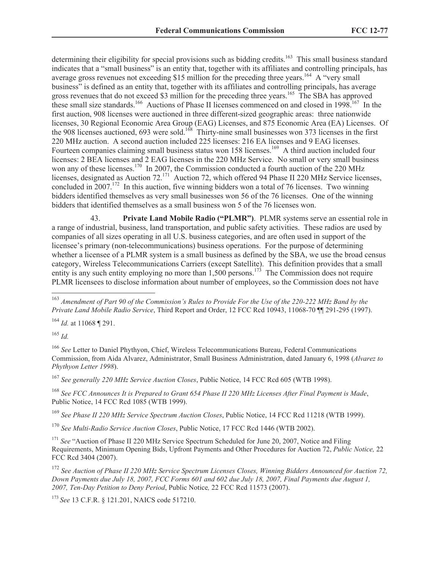determining their eligibility for special provisions such as bidding credits.<sup>163</sup> This small business standard indicates that a "small business" is an entity that, together with its affiliates and controlling principals, has average gross revenues not exceeding \$15 million for the preceding three years.<sup>164</sup> A "very small business" is defined as an entity that, together with its affiliates and controlling principals, has average gross revenues that do not exceed \$3 million for the preceding three years.<sup>165</sup> The SBA has approved these small size standards.<sup>166</sup> Auctions of Phase II licenses commenced on and closed in 1998.<sup>167</sup> In the first auction, 908 licenses were auctioned in three different-sized geographic areas: three nationwide licenses, 30 Regional Economic Area Group (EAG) Licenses, and 875 Economic Area (EA) Licenses. Of the 908 licenses auctioned, 693 were sold.<sup>168</sup> Thirty-nine small businesses won 373 licenses in the first 220 MHz auction. A second auction included 225 licenses: 216 EA licenses and 9 EAG licenses. Fourteen companies claiming small business status won 158 licenses.<sup>169</sup> A third auction included four licenses: 2 BEA licenses and 2 EAG licenses in the 220 MHz Service. No small or very small business won any of these licenses.<sup>170</sup> In 2007, the Commission conducted a fourth auction of the 220 MHz licenses, designated as Auction 72.<sup>171</sup> Auction 72, which offered 94 Phase II 220 MHz Service licenses, concluded in  $2007$ .<sup>172</sup> In this auction, five winning bidders won a total of 76 licenses. Two winning bidders identified themselves as very small businesses won 56 of the 76 licenses. One of the winning bidders that identified themselves as a small business won 5 of the 76 licenses won.

43. **Private Land Mobile Radio ("PLMR")**. PLMR systems serve an essential role in a range of industrial, business, land transportation, and public safety activities. These radios are used by companies of all sizes operating in all U.S. business categories, and are often used in support of the licensee's primary (non-telecommunications) business operations. For the purpose of determining whether a licensee of a PLMR system is a small business as defined by the SBA, we use the broad census category, Wireless Telecommunications Carriers (except Satellite). This definition provides that a small entity is any such entity employing no more than  $1,500$  persons.<sup>173</sup> The Commission does not require PLMR licensees to disclose information about number of employees, so the Commission does not have

<sup>164</sup> *Id.* at 11068 ¶ 291.

<sup>165</sup> *Id.*

 $\overline{a}$ 

<sup>166</sup> *See* Letter to Daniel Phythyon, Chief, Wireless Telecommunications Bureau, Federal Communications Commission, from Aida Alvarez, Administrator, Small Business Administration, dated January 6, 1998 (*Alvarez to Phythyon Letter 1998*).

<sup>167</sup> *See generally 220 MHz Service Auction Closes*, Public Notice, 14 FCC Rcd 605 (WTB 1998).

<sup>168</sup> *See FCC Announces It is Prepared to Grant 654 Phase II 220 MHz Licenses After Final Payment is Made*, Public Notice, 14 FCC Rcd 1085 (WTB 1999).

<sup>169</sup> *See Phase II 220 MHz Service Spectrum Auction Closes*, Public Notice, 14 FCC Rcd 11218 (WTB 1999).

<sup>170</sup> *See Multi-Radio Service Auction Closes*, Public Notice, 17 FCC Rcd 1446 (WTB 2002).

<sup>171</sup> See "Auction of Phase II 220 MHz Service Spectrum Scheduled for June 20, 2007, Notice and Filing Requirements, Minimum Opening Bids, Upfront Payments and Other Procedures for Auction 72, *Public Notice,* 22 FCC Rcd 3404 (2007).

<sup>172</sup> *See Auction of Phase II 220 MHz Service Spectrum Licenses Closes, Winning Bidders Announced for Auction 72, Down Payments due July 18, 2007, FCC Forms 601 and 602 due July 18, 2007, Final Payments due August 1, 2007, Ten-Day Petition to Deny Period*, Public Notice*,* 22 FCC Rcd 11573 (2007).

<sup>173</sup> *See* 13 C.F.R. § 121.201, NAICS code 517210.

<sup>163</sup> *Amendment of Part 90 of the Commission's Rules to Provide For the Use of the 220-222 MHz Band by the Private Land Mobile Radio Service*, Third Report and Order, 12 FCC Rcd 10943, 11068-70 ¶¶ 291-295 (1997).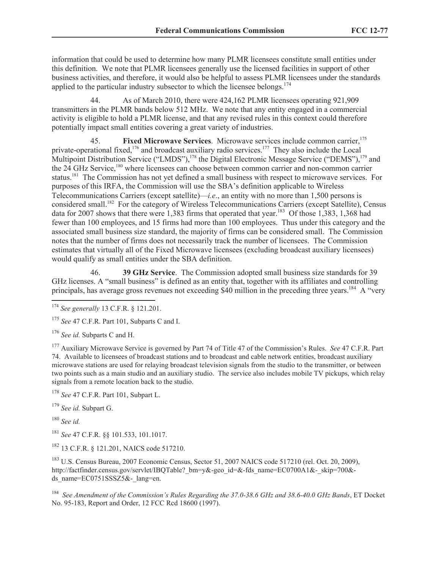information that could be used to determine how many PLMR licensees constitute small entities under this definition. We note that PLMR licensees generally use the licensed facilities in support of other business activities, and therefore, it would also be helpful to assess PLMR licensees under the standards applied to the particular industry subsector to which the licensee belongs.<sup>174</sup>

44. As of March 2010, there were 424,162 PLMR licensees operating 921,909 transmitters in the PLMR bands below 512 MHz. We note that any entity engaged in a commercial activity is eligible to hold a PLMR license, and that any revised rules in this context could therefore potentially impact small entities covering a great variety of industries.

45. **Fixed Microwave Services**. Microwave services include common carrier,<sup>175</sup> private-operational fixed,<sup>176</sup> and broadcast auxiliary radio services.<sup>177</sup> They also include the Local Multipoint Distribution Service ("LMDS"),<sup>178</sup> the Digital Electronic Message Service ("DEMS"),<sup>179</sup> and the 24 GHz Service,<sup>180</sup> where licensees can choose between common carrier and non-common carrier status.<sup>181</sup> The Commission has not yet defined a small business with respect to microwave services. For purposes of this IRFA, the Commission will use the SBA's definition applicable to Wireless Telecommunications Carriers (except satellite)—*i.e*., an entity with no more than 1,500 persons is considered small.<sup>182</sup> For the category of Wireless Telecommunications Carriers (except Satellite), Census data for 2007 shows that there were 1,383 firms that operated that year.<sup>183</sup> Of those 1,383, 1,368 had fewer than 100 employees, and 15 firms had more than 100 employees. Thus under this category and the associated small business size standard, the majority of firms can be considered small. The Commission notes that the number of firms does not necessarily track the number of licensees. The Commission estimates that virtually all of the Fixed Microwave licensees (excluding broadcast auxiliary licensees) would qualify as small entities under the SBA definition.

46. **39 GHz Service**. The Commission adopted small business size standards for 39 GHz licenses. A "small business" is defined as an entity that, together with its affiliates and controlling principals, has average gross revenues not exceeding \$40 million in the preceding three years.<sup>184</sup> A "very

<sup>177</sup> Auxiliary Microwave Service is governed by Part 74 of Title 47 of the Commission's Rules. *See* 47 C.F.R. Part 74. Available to licensees of broadcast stations and to broadcast and cable network entities, broadcast auxiliary microwave stations are used for relaying broadcast television signals from the studio to the transmitter, or between two points such as a main studio and an auxiliary studio. The service also includes mobile TV pickups, which relay signals from a remote location back to the studio.

<sup>178</sup> *See* 47 C.F.R. Part 101, Subpart L.

<sup>179</sup> *See id.* Subpart G.

<sup>180</sup> *See id.*

 $\overline{a}$ 

<sup>181</sup> *See* 47 C.F.R. §§ 101.533, 101.1017.

<sup>182</sup> 13 C.F.R. § 121.201, NAICS code 517210.

<sup>183</sup> U.S. Census Bureau, 2007 Economic Census, Sector 51, 2007 NAICS code 517210 (rel. Oct. 20, 2009), http://factfinder.census.gov/servlet/IBQTable? bm=y&-geo\_id=&-fds\_name=EC0700A1&-\_skip=700&ds\_name=EC0751SSSZ5&-\_lang=en.

184 *See Amendment of the Commission's Rules Regarding the 37.0-38.6 GHz and 38.6-40.0 GHz Bands*, ET Docket No. 95-183, Report and Order, 12 FCC Rcd 18600 (1997).

<sup>174</sup> *See generally* 13 C.F.R. § 121.201.

<sup>175</sup> *See* 47 C.F.R. Part 101, Subparts C and I.

<sup>176</sup> *See id.* Subparts C and H.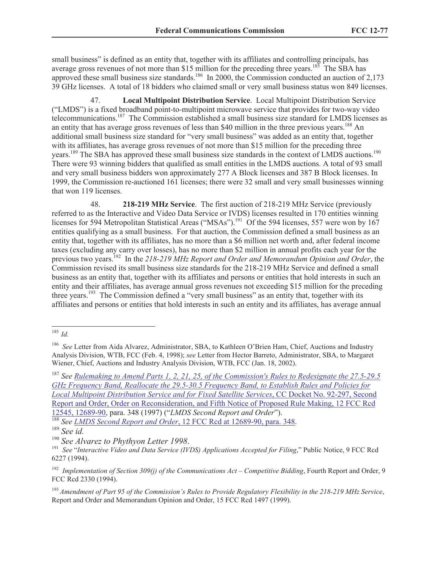small business" is defined as an entity that, together with its affiliates and controlling principals, has average gross revenues of not more than \$15 million for the preceding three years.<sup>185</sup> The SBA has approved these small business size standards.<sup>186</sup> In 2000, the Commission conducted an auction of 2,173 39 GHz licenses. A total of 18 bidders who claimed small or very small business status won 849 licenses.

47. **Local Multipoint Distribution Service**. Local Multipoint Distribution Service ("LMDS") is a fixed broadband point-to-multipoint microwave service that provides for two-way video telecommunications.<sup>187</sup> The Commission established a small business size standard for LMDS licenses as an entity that has average gross revenues of less than \$40 million in the three previous years.<sup>188</sup> An additional small business size standard for "very small business" was added as an entity that, together with its affiliates, has average gross revenues of not more than \$15 million for the preceding three years.<sup>189</sup> The SBA has approved these small business size standards in the context of LMDS auctions.<sup>190</sup> There were 93 winning bidders that qualified as small entities in the LMDS auctions. A total of 93 small and very small business bidders won approximately 277 A Block licenses and 387 B Block licenses. In 1999, the Commission re-auctioned 161 licenses; there were 32 small and very small businesses winning that won 119 licenses.

48. **218-219 MHz Service**. The first auction of 218-219 MHz Service (previously referred to as the Interactive and Video Data Service or IVDS) licenses resulted in 170 entities winning licenses for 594 Metropolitan Statistical Areas ("MSAs").<sup>191</sup> Of the 594 licenses, 557 were won by 167 entities qualifying as a small business. For that auction, the Commission defined a small business as an entity that, together with its affiliates, has no more than a \$6 million net worth and, after federal income taxes (excluding any carry over losses), has no more than \$2 million in annual profits each year for the previous two years.<sup>192</sup> In the 218-219 MHz Report and Order and Memorandum Opinion and Order, the Commission revised its small business size standards for the 218-219 MHz Service and defined a small business as an entity that, together with its affiliates and persons or entities that hold interests in such an entity and their affiliates, has average annual gross revenues not exceeding \$15 million for the preceding three years.<sup>193</sup> The Commission defined a "very small business" as an entity that, together with its affiliates and persons or entities that hold interests in such an entity and its affiliates, has average annual

188 *See LMDS Second Report and Order*, 12 FCC Rcd at 12689-90, para. 348.

 $\overline{a}$ <sup>185</sup>*Id.*

<sup>&</sup>lt;sup>186</sup> See Letter from Aida Alvarez, Administrator, SBA, to Kathleen O'Brien Ham, Chief, Auctions and Industry Analysis Division, WTB, FCC (Feb. 4, 1998); *see* Letter from Hector Barreto, Administrator, SBA, to Margaret Wiener, Chief, Auctions and Industry Analysis Division, WTB, FCC (Jan. 18, 2002).

<sup>187</sup> *See Rulemaking to Amend Parts 1, 2, 21, 25, of the Commission's Rules to Redesignate the 27.5-29.5 GHz Frequency Band, Reallocate the 29.5-30.5 Frequency Band, to Establish Rules and Policies for Local Multipoint Distribution Service and for Fixed Satellite Services*, CC Docket No. 92-297, Second Report and Order, Order on Reconsideration, and Fifth Notice of Proposed Rule Making, 12 FCC Rcd 12545, 12689-90, para. 348 (1997) ("*LMDS Second Report and Order*").

<sup>189</sup> *See id.*

<sup>190</sup> *See Alvarez to Phythyon Letter 1998*.

<sup>&</sup>lt;sup>191</sup> See "Interactive Video and Data Service (IVDS) Applications Accepted for Filing," Public Notice, 9 FCC Rcd 6227 (1994).

<sup>192</sup> *Implementation of Section 309(j) of the Communications Act – Competitive Bidding*, Fourth Report and Order, 9 FCC Rcd 2330 (1994).

<sup>193</sup> *Amendment of Part 95 of the Commission's Rules to Provide Regulatory Flexibility in the 218-219 MHz Service*, Report and Order and Memorandum Opinion and Order, 15 FCC Rcd 1497 (1999).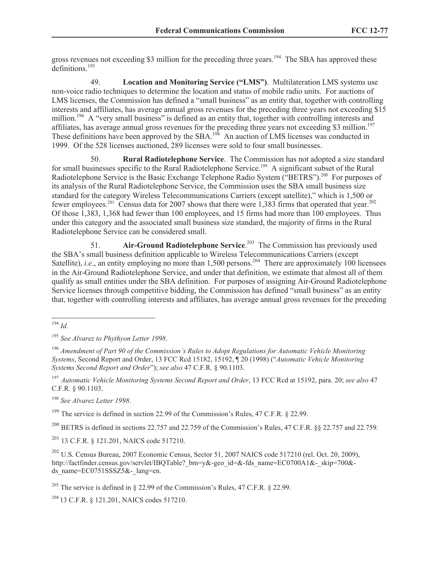gross revenues not exceeding \$3 million for the preceding three years.<sup>194</sup> The SBA has approved these definitions.<sup>195</sup>

49. **Location and Monitoring Service ("LMS")**. Multilateration LMS systems use non-voice radio techniques to determine the location and status of mobile radio units. For auctions of LMS licenses, the Commission has defined a "small business" as an entity that, together with controlling interests and affiliates, has average annual gross revenues for the preceding three years not exceeding \$15 million.<sup>196</sup> A "very small business" is defined as an entity that, together with controlling interests and affiliates, has average annual gross revenues for the preceding three years not exceeding \$3 million.<sup>197</sup> These definitions have been approved by the  $SBA$ <sup>198</sup> An auction of LMS licenses was conducted in 1999. Of the 528 licenses auctioned, 289 licenses were sold to four small businesses.

50. **Rural Radiotelephone Service**. The Commission has not adopted a size standard for small businesses specific to the Rural Radiotelephone Service.<sup>199</sup> A significant subset of the Rural Radiotelephone Service is the Basic Exchange Telephone Radio System ("BETRS").<sup>200</sup> For purposes of its analysis of the Rural Radiotelephone Service, the Commission uses the SBA small business size standard for the category Wireless Telecommunications Carriers (except satellite)," which is 1,500 or fewer employees.<sup>201</sup> Census data for 2007 shows that there were 1,383 firms that operated that year.<sup>202</sup> Of those 1,383, 1,368 had fewer than 100 employees, and 15 firms had more than 100 employees. Thus under this category and the associated small business size standard, the majority of firms in the Rural Radiotelephone Service can be considered small.

51. **Air-Ground Radiotelephone Service**. 203 The Commission has previously used the SBA's small business definition applicable to Wireless Telecommunications Carriers (except Satellite), *i.e.*, an entity employing no more than  $1,500$  persons.<sup>204</sup> There are approximately 100 licensees in the Air-Ground Radiotelephone Service, and under that definition, we estimate that almost all of them qualify as small entities under the SBA definition. For purposes of assigning Air-Ground Radiotelephone Service licenses through competitive bidding, the Commission has defined "small business" as an entity that, together with controlling interests and affiliates, has average annual gross revenues for the preceding

<sup>196</sup> *Amendment of Part 90 of the Commission's Rules to Adopt Regulations for Automatic Vehicle Monitoring Systems*, Second Report and Order, 13 FCC Rcd 15182, 15192, ¶ 20 (1998) ("*Automatic Vehicle Monitoring Systems Second Report and Order*"); *see also* 47 C.F.R. § 90.1103.

<sup>197</sup>*Automatic Vehicle Monitoring Systems Second Report and Order*, 13 FCC Rcd at 15192, para. 20; *see also* 47 C.F.R. § 90.1103.

<sup>198</sup> *See Alvarez Letter 1998*.

<sup>199</sup> The service is defined in section 22.99 of the Commission's Rules, 47 C.F.R.  $\S$  22.99.

<sup>200</sup> BETRS is defined in sections 22.757 and 22.759 of the Commission's Rules, 47 C.F.R. §§ 22.757 and 22.759.

<sup>201</sup> 13 C.F.R. § 121.201, NAICS code 517210.

<sup>202</sup> U.S. Census Bureau, 2007 Economic Census, Sector 51, 2007 NAICS code 517210 (rel. Oct. 20, 2009), http://factfinder.census.gov/servlet/IBQTable? bm=y&-geo\_id=&-fds\_name=EC0700A1&-\_skip=700&ds\_name=EC0751SSSZ5&-\_lang=en.

<sup>203</sup> The service is defined in  $\S$  22.99 of the Commission's Rules, 47 C.F.R.  $\S$  22.99.

<sup>204</sup> 13 C.F.R. § 121.201, NAICS codes 517210.

 $\overline{a}$ <sup>194</sup> *Id.*

<sup>195</sup> *See Alvarez to Phythyon Letter 1998*.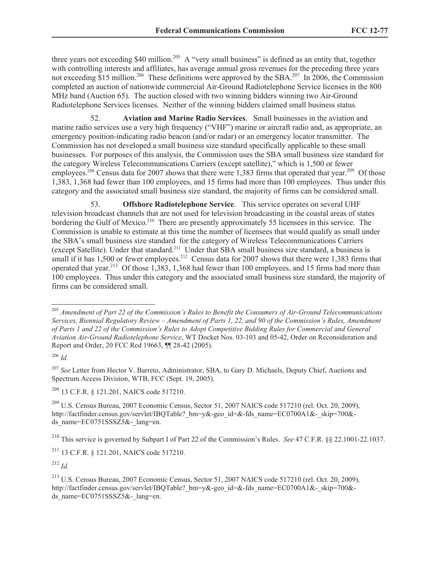three years not exceeding \$40 million.<sup>205</sup> A "very small business" is defined as an entity that, together with controlling interests and affiliates, has average annual gross revenues for the preceding three years not exceeding \$15 million.<sup>206</sup> These definitions were approved by the SBA.<sup>207</sup> In 2006, the Commission completed an auction of nationwide commercial Air-Ground Radiotelephone Service licenses in the 800 MHz band (Auction 65). The auction closed with two winning bidders winning two Air-Ground Radiotelephone Services licenses. Neither of the winning bidders claimed small business status.

52. **Aviation and Marine Radio Services**. Small businesses in the aviation and marine radio services use a very high frequency ("VHF") marine or aircraft radio and, as appropriate, an emergency position-indicating radio beacon (and/or radar) or an emergency locator transmitter. The Commission has not developed a small business size standard specifically applicable to these small businesses. For purposes of this analysis, the Commission uses the SBA small business size standard for the category Wireless Telecommunications Carriers (except satellite)," which is 1,500 or fewer employees.<sup>208</sup> Census data for 2007 shows that there were 1,383 firms that operated that year.<sup>209</sup> Of those 1,383, 1,368 had fewer than 100 employees, and 15 firms had more than 100 employees. Thus under this category and the associated small business size standard, the majority of firms can be considered small.

53. **Offshore Radiotelephone Service**. This service operates on several UHF television broadcast channels that are not used for television broadcasting in the coastal areas of states bordering the Gulf of Mexico.<sup>210</sup> There are presently approximately 55 licensees in this service. The Commission is unable to estimate at this time the number of licensees that would qualify as small under the SBA's small business size standard for the category of Wireless Telecommunications Carriers (except Satellite). Under that standard.<sup>211</sup> Under that SBA small business size standard, a business is small if it has  $1,500$  or fewer employees.<sup>212</sup> Census data for 2007 shows that there were 1,383 firms that operated that year.<sup>213</sup> Of those  $1,383, 1,368$  had fewer than 100 employees, and 15 firms had more than 100 employees. Thus under this category and the associated small business size standard, the majority of firms can be considered small.

<sup>206</sup> *Id.*

 $\overline{a}$ 

<sup>207</sup> *See* Letter from Hector V. Barreto, Administrator, SBA, to Gary D. Michaels, Deputy Chief, Auctions and Spectrum Access Division, WTB, FCC (Sept. 19, 2005).

<sup>208</sup> 13 C.F.R. § 121.201, NAICS code 517210.

 $^{209}$  U.S. Census Bureau, 2007 Economic Census, Sector 51, 2007 NAICS code 517210 (rel. Oct. 20, 2009), http://factfinder.census.gov/servlet/IBQTable? bm=y&-geo\_id=&-fds\_name=EC0700A1&-\_skip=700&ds\_name=EC0751SSSZ5&-\_lang=en.

<sup>210</sup> This service is governed by Subpart I of Part 22 of the Commission's Rules. *See* 47 C.F.R. §§ 22.1001-22.1037.

<sup>211</sup> 13 C.F.R. § 121.201, NAICS code 517210.

<sup>212</sup> *Id*.

<sup>213</sup> U.S. Census Bureau, 2007 Economic Census, Sector 51, 2007 NAICS code 517210 (rel. Oct. 20, 2009), http://factfinder.census.gov/servlet/IBQTable? bm=y&-geo\_id=&-fds\_name=EC0700A1&-\_skip=700&ds\_name=EC0751SSSZ5&-\_lang=en.

<sup>205</sup> *Amendment of Part 22 of the Commission's Rules to Benefit the Consumers of Air-Ground Telecommunications Services, Biennial Regulatory Review – Amendment of Parts 1, 22, and 90 of the Commission's Rules, Amendment of Parts 1 and 22 of the Commission's Rules to Adopt Competitive Bidding Rules for Commercial and General Aviation Air-Ground Radiotelephone Service*, WT Docket Nos. 03-103 and 05-42, Order on Reconsideration and Report and Order, 20 FCC Rcd 19663, ¶¶ 28-42 (2005).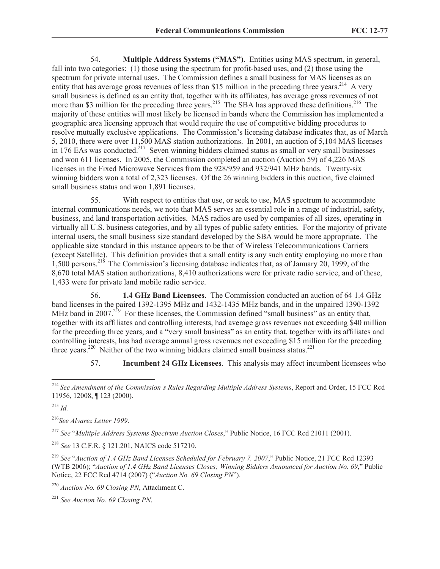54. **Multiple Address Systems ("MAS")**. Entities using MAS spectrum, in general, fall into two categories: (1) those using the spectrum for profit-based uses, and (2) those using the spectrum for private internal uses. The Commission defines a small business for MAS licenses as an entity that has average gross revenues of less than \$15 million in the preceding three years.<sup>214</sup> A very small business is defined as an entity that, together with its affiliates, has average gross revenues of not more than \$3 million for the preceding three years.<sup>215</sup> The SBA has approved these definitions.<sup>216</sup> The majority of these entities will most likely be licensed in bands where the Commission has implemented a geographic area licensing approach that would require the use of competitive bidding procedures to resolve mutually exclusive applications. The Commission's licensing database indicates that, as of March 5, 2010, there were over 11,500 MAS station authorizations. In 2001, an auction of 5,104 MAS licenses in 176 EAs was conducted.<sup>217</sup> Seven winning bidders claimed status as small or very small businesses and won 611 licenses. In 2005, the Commission completed an auction (Auction 59) of 4,226 MAS licenses in the Fixed Microwave Services from the 928/959 and 932/941 MHz bands. Twenty-six winning bidders won a total of 2,323 licenses. Of the 26 winning bidders in this auction, five claimed small business status and won 1,891 licenses.

55. With respect to entities that use, or seek to use, MAS spectrum to accommodate internal communications needs, we note that MAS serves an essential role in a range of industrial, safety, business, and land transportation activities. MAS radios are used by companies of all sizes, operating in virtually all U.S. business categories, and by all types of public safety entities. For the majority of private internal users, the small business size standard developed by the SBA would be more appropriate. The applicable size standard in this instance appears to be that of Wireless Telecommunications Carriers (except Satellite). This definition provides that a small entity is any such entity employing no more than 1,500 persons.<sup>218</sup> The Commission's licensing database indicates that, as of January 20, 1999, of the 8,670 total MAS station authorizations, 8,410 authorizations were for private radio service, and of these, 1,433 were for private land mobile radio service.

56. **1.4 GHz Band Licensees**. The Commission conducted an auction of 64 1.4 GHz band licenses in the paired 1392-1395 MHz and 1432-1435 MHz bands, and in the unpaired 1390-1392 MHz band in 2007.<sup>219</sup> For these licenses, the Commission defined "small business" as an entity that, together with its affiliates and controlling interests, had average gross revenues not exceeding \$40 million for the preceding three years, and a "very small business" as an entity that, together with its affiliates and controlling interests, has had average annual gross revenues not exceeding \$15 million for the preceding three years.<sup>220</sup> Neither of the two winning bidders claimed small business status.<sup>221</sup>

57. **Incumbent 24 GHz Licensees**. This analysis may affect incumbent licensees who

<sup>216</sup>*See Alvarez Letter 1999*.

<sup>217</sup> *See* "*Multiple Address Systems Spectrum Auction Closes*," Public Notice, 16 FCC Rcd 21011 (2001).

<sup>218</sup> *See* 13 C.F.R. § 121.201, NAICS code 517210.

<sup>219</sup> *See* "*Auction of 1.4 GHz Band Licenses Scheduled for February 7, 2007*," Public Notice, 21 FCC Rcd 12393 (WTB 2006); "*Auction of 1.4 GHz Band Licenses Closes; Winning Bidders Announced for Auction No. 69*," Public Notice, 22 FCC Rcd 4714 (2007) ("*Auction No. 69 Closing PN*").

<sup>220</sup> *Auction No. 69 Closing PN*, Attachment C.

<sup>221</sup> *See Auction No. 69 Closing PN*.

 $\overline{a}$ <sup>214</sup> *See Amendment of the Commission's Rules Regarding Multiple Address Systems*, Report and Order, 15 FCC Rcd 11956, 12008, ¶ 123 (2000).

<sup>215</sup> *Id.*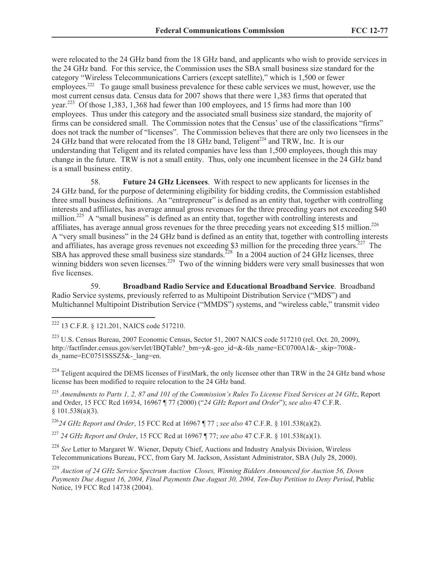were relocated to the 24 GHz band from the 18 GHz band, and applicants who wish to provide services in the 24 GHz band. For this service, the Commission uses the SBA small business size standard for the category "Wireless Telecommunications Carriers (except satellite)," which is 1,500 or fewer employees.<sup>222</sup> To gauge small business prevalence for these cable services we must, however, use the most current census data. Census data for 2007 shows that there were 1,383 firms that operated that year.<sup>223</sup> Of those 1,383, 1,368 had fewer than 100 employees, and 15 firms had more than 100 employees. Thus under this category and the associated small business size standard, the majority of firms can be considered small. The Commission notes that the Census' use of the classifications "firms" does not track the number of "licenses". The Commission believes that there are only two licensees in the 24 GHz band that were relocated from the 18 GHz band, Teligent<sup>224</sup> and TRW, Inc. It is our understanding that Teligent and its related companies have less than 1,500 employees, though this may change in the future. TRW is not a small entity. Thus, only one incumbent licensee in the 24 GHz band is a small business entity.

58. **Future 24 GHz Licensees**. With respect to new applicants for licenses in the 24 GHz band, for the purpose of determining eligibility for bidding credits, the Commission established three small business definitions. An "entrepreneur" is defined as an entity that, together with controlling interests and affiliates, has average annual gross revenues for the three preceding years not exceeding \$40 million.<sup>225</sup> A "small business" is defined as an entity that, together with controlling interests and affiliates, has average annual gross revenues for the three preceding years not exceeding \$15 million.<sup>226</sup> A "very small business" in the 24 GHz band is defined as an entity that, together with controlling interests and affiliates, has average gross revenues not exceeding \$3 million for the preceding three years.<sup>227</sup> The SBA has approved these small business size standards.<sup>228</sup> In a 2004 auction of 24 GHz licenses, three winning bidders won seven licenses.<sup>229</sup> Two of the winning bidders were very small businesses that won five licenses.

59. **Broadband Radio Service and Educational Broadband Service**. Broadband Radio Service systems, previously referred to as Multipoint Distribution Service ("MDS") and Multichannel Multipoint Distribution Service ("MMDS") systems, and "wireless cable," transmit video

 $\overline{a}$ 

<sup>223</sup> U.S. Census Bureau, 2007 Economic Census, Sector 51, 2007 NAICS code 517210 (rel. Oct. 20, 2009), http://factfinder.census.gov/servlet/IBQTable? bm=y&-geo\_id=&-fds\_name=EC0700A1&-\_skip=700&ds\_name=EC0751SSSZ5&-\_lang=en.

 $^{224}$  Teligent acquired the DEMS licenses of FirstMark, the only licensee other than TRW in the 24 GHz band whose license has been modified to require relocation to the 24 GHz band.

<sup>225</sup> *Amendments to Parts 1, 2, 87 and 101 of the Commission's Rules To License Fixed Services at 24 GHz*, Report and Order, 15 FCC Rcd 16934, 16967 ¶ 77 (2000) ("*24 GHz Report and Order*"); *see also* 47 C.F.R.  $§ 101.538(a)(3).$ 

<sup>226</sup>*24 GHz Report and Order*, 15 FCC Rcd at 16967 ¶ 77 ; *see also* 47 C.F.R. § 101.538(a)(2).

<sup>227</sup> *24 GHz Report and Order*, 15 FCC Rcd at 16967 ¶ 77; *see also* 47 C.F.R. § 101.538(a)(1).

<sup>228</sup> *See* Letter to Margaret W. Wiener, Deputy Chief, Auctions and Industry Analysis Division, Wireless Telecommunications Bureau, FCC, from Gary M. Jackson, Assistant Administrator, SBA (July 28, 2000).

<sup>229</sup> *Auction of 24 GHz Service Spectrum Auction Closes, Winning Bidders Announced for Auction 56, Down Payments Due August 16, 2004, Final Payments Due August 30, 2004, Ten-Day Petition to Deny Period*, Public Notice, 19 FCC Rcd 14738 (2004).

<sup>222</sup> 13 C.F.R. § 121.201, NAICS code 517210.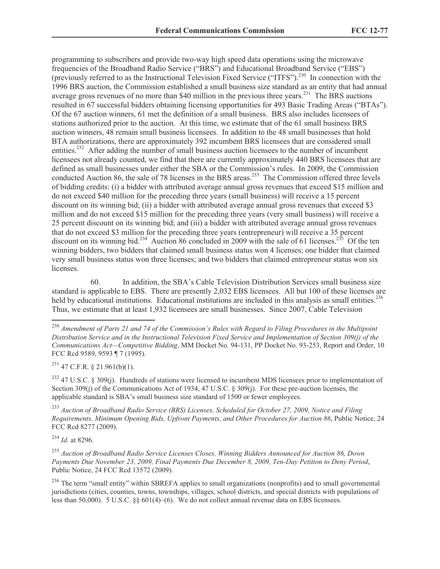programming to subscribers and provide two-way high speed data operations using the microwave frequencies of the Broadband Radio Service ("BRS") and Educational Broadband Service ("EBS") (previously referred to as the Instructional Television Fixed Service ("ITFS").<sup>230</sup> In connection with the 1996 BRS auction, the Commission established a small business size standard as an entity that had annual average gross revenues of no more than \$40 million in the previous three years.<sup>231</sup> The BRS auctions resulted in 67 successful bidders obtaining licensing opportunities for 493 Basic Trading Areas ("BTAs"). Of the 67 auction winners, 61 met the definition of a small business. BRS also includes licensees of stations authorized prior to the auction. At this time, we estimate that of the 61 small business BRS auction winners, 48 remain small business licensees. In addition to the 48 small businesses that hold BTA authorizations, there are approximately 392 incumbent BRS licensees that are considered small entities.<sup>232</sup> After adding the number of small business auction licensees to the number of incumbent licensees not already counted, we find that there are currently approximately 440 BRS licensees that are defined as small businesses under either the SBA or the Commission's rules. In 2009, the Commission conducted Auction 86, the sale of 78 licenses in the BRS areas.<sup>233</sup> The Commission offered three levels of bidding credits: (i) a bidder with attributed average annual gross revenues that exceed \$15 million and do not exceed \$40 million for the preceding three years (small business) will receive a 15 percent discount on its winning bid; (ii) a bidder with attributed average annual gross revenues that exceed \$3 million and do not exceed \$15 million for the preceding three years (very small business) will receive a 25 percent discount on its winning bid; and (iii) a bidder with attributed average annual gross revenues that do not exceed \$3 million for the preceding three years (entrepreneur) will receive a 35 percent discount on its winning bid.<sup>234</sup> Auction 86 concluded in 2009 with the sale of 61 licenses.<sup>235</sup> Of the ten winning bidders, two bidders that claimed small business status won 4 licenses; one bidder that claimed very small business status won three licenses; and two bidders that claimed entrepreneur status won six licenses.

60. In addition, the SBA's Cable Television Distribution Services small business size standard is applicable to EBS. There are presently 2,032 EBS licensees. All but 100 of these licenses are held by educational institutions. Educational institutions are included in this analysis as small entities.<sup>236</sup> Thus, we estimate that at least 1,932 licensees are small businesses. Since 2007, Cable Television

 $^{231}$  47 C.F.R. § 21.961(b)(1).

<sup>232</sup> 47 U.S.C. § 309(j). Hundreds of stations were licensed to incumbent MDS licensees prior to implementation of Section 309(j) of the Communications Act of 1934, 47 U.S.C. § 309(j). For these pre-auction licenses, the applicable standard is SBA's small business size standard of 1500 or fewer employees.

<sup>233</sup> *Auction of Broadband Radio Service (BRS) Licenses, Scheduled for October 27, 2009, Notice and Filing Requirements, Minimum Opening Bids, Upfront Payments, and Other Procedures for Auction 86*, Public Notice, 24 FCC Rcd 8277 (2009).

<sup>234</sup> *Id.* at 8296.

 $\overline{a}$ 

<sup>235</sup> *Auction of Broadband Radio Service Licenses Closes, Winning Bidders Announced for Auction 86, Down Payments Due November 23, 2009, Final Payments Due December 8, 2009, Ten-Day Petition to Deny Period*, Public Notice, 24 FCC Rcd 13572 (2009).

<sup>230</sup> *Amendment of Parts 21 and 74 of the Commission's Rules with Regard to Filing Procedures in the Multipoint Distribution Service and in the Instructional Television Fixed Service and Implementation of Section 309(j) of the Communications Act—Competitive Bidding*, MM Docket No. 94-131, PP Docket No. 93-253, Report and Order, 10 FCC Rcd 9589, 9593 ¶ 7 (1995).

<sup>&</sup>lt;sup>236</sup> The term "small entity" within SBREFA applies to small organizations (nonprofits) and to small governmental jurisdictions (cities, counties, towns, townships, villages, school districts, and special districts with populations of less than 50,000). 5 U.S.C. §§ 601(4)–(6). We do not collect annual revenue data on EBS licensees.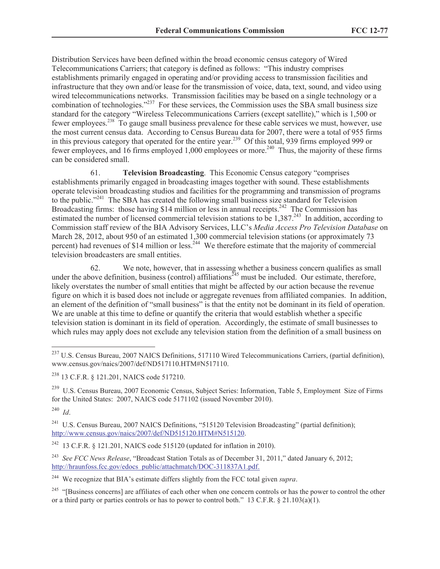Distribution Services have been defined within the broad economic census category of Wired Telecommunications Carriers; that category is defined as follows: "This industry comprises establishments primarily engaged in operating and/or providing access to transmission facilities and infrastructure that they own and/or lease for the transmission of voice, data, text, sound, and video using wired telecommunications networks. Transmission facilities may be based on a single technology or a combination of technologies."<sup>237</sup> For these services, the Commission uses the SBA small business size standard for the category "Wireless Telecommunications Carriers (except satellite)," which is 1,500 or fewer employees.<sup>238</sup> To gauge small business prevalence for these cable services we must, however, use the most current census data. According to Census Bureau data for 2007, there were a total of 955 firms in this previous category that operated for the entire year.<sup>239</sup> Of this total, 939 firms employed 999 or fewer employees, and 16 firms employed 1,000 employees or more.<sup>240</sup> Thus, the majority of these firms can be considered small.

61. **Television Broadcasting**. This Economic Census category "comprises establishments primarily engaged in broadcasting images together with sound. These establishments operate television broadcasting studios and facilities for the programming and transmission of programs to the public."<sup>241</sup> The SBA has created the following small business size standard for Television Broadcasting firms: those having \$14 million or less in annual receipts.<sup>242</sup> The Commission has estimated the number of licensed commercial television stations to be 1,387.<sup>243</sup> In addition, according to Commission staff review of the BIA Advisory Services, LLC's *Media Access Pro Television Database* on March 28, 2012, about 950 of an estimated 1,300 commercial television stations (or approximately 73 percent) had revenues of \$14 million or less.<sup>244</sup> We therefore estimate that the majority of commercial television broadcasters are small entities.

62. We note, however, that in assessing whether a business concern qualifies as small under the above definition, business (control) affiliations<sup> $245$ </sup> must be included. Our estimate, therefore, likely overstates the number of small entities that might be affected by our action because the revenue figure on which it is based does not include or aggregate revenues from affiliated companies. In addition, an element of the definition of "small business" is that the entity not be dominant in its field of operation. We are unable at this time to define or quantify the criteria that would establish whether a specific television station is dominant in its field of operation. Accordingly, the estimate of small businesses to which rules may apply does not exclude any television station from the definition of a small business on

<sup>239</sup> U.S. Census Bureau, 2007 Economic Census, Subject Series: Information, Table 5, Employment Size of Firms for the United States: 2007, NAICS code 5171102 (issued November 2010).

 $\overline{a}$ 

<sup>241</sup> U.S. Census Bureau, 2007 NAICS Definitions, "515120 Television Broadcasting" (partial definition); http://www.census.gov/naics/2007/def/ND515120.HTM#N515120.

 $^{237}$  U.S. Census Bureau, 2007 NAICS Definitions, 517110 Wired Telecommunications Carriers, (partial definition), www.census.gov/naics/2007/def/ND517110.HTM#N517110.

<sup>238</sup> 13 C.F.R. § 121.201, NAICS code 517210.

<sup>240</sup> *Id*.

<sup>&</sup>lt;sup>242</sup> 13 C.F.R. § 121.201, NAICS code 515120 (updated for inflation in 2010).

<sup>243</sup> *See FCC News Release*, "Broadcast Station Totals as of December 31, 2011," dated January 6, 2012; http://hraunfoss.fcc.gov/edocs\_public/attachmatch/DOC-311837A1.pdf.

<sup>244</sup> We recognize that BIA's estimate differs slightly from the FCC total given *supra*.

<sup>&</sup>lt;sup>245</sup> "[Business concerns] are affiliates of each other when one concern controls or has the power to control the other or a third party or parties controls or has to power to control both." 13 C.F.R.  $\S$  21.103(a)(1).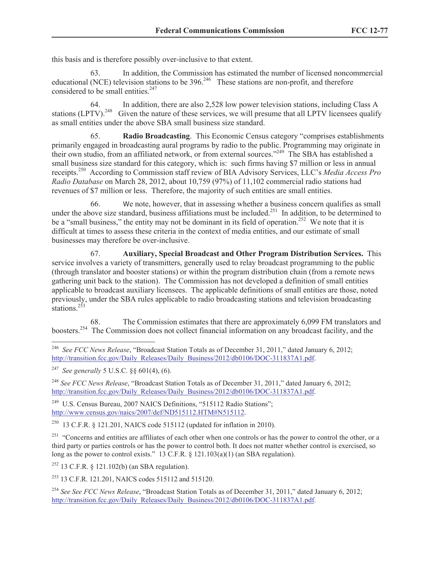this basis and is therefore possibly over-inclusive to that extent.

63. In addition, the Commission has estimated the number of licensed noncommercial educational (NCE) television stations to be  $396<sup>246</sup>$  These stations are non-profit, and therefore considered to be small entities.<sup>247</sup>

64. In addition, there are also 2,528 low power television stations, including Class A stations (LPTV).<sup>248</sup> Given the nature of these services, we will presume that all LPTV licensees qualify as small entities under the above SBA small business size standard.

65. **Radio Broadcasting**. This Economic Census category "comprises establishments primarily engaged in broadcasting aural programs by radio to the public. Programming may originate in their own studio, from an affiliated network, or from external sources."<sup>249</sup> The SBA has established a small business size standard for this category, which is: such firms having \$7 million or less in annual receipts.<sup>250</sup> According to Commission staff review of BIA Advisory Services, LLC's *Media Access Pro Radio Database* on March 28, 2012, about 10,759 (97%) of 11,102 commercial radio stations had revenues of \$7 million or less. Therefore, the majority of such entities are small entities.

66. We note, however, that in assessing whether a business concern qualifies as small under the above size standard, business affiliations must be included.<sup>251</sup> In addition, to be determined to be a "small business," the entity may not be dominant in its field of operation.<sup>252</sup> We note that it is difficult at times to assess these criteria in the context of media entities, and our estimate of small businesses may therefore be over-inclusive.

67. **Auxiliary, Special Broadcast and Other Program Distribution Services.** This service involves a variety of transmitters, generally used to relay broadcast programming to the public (through translator and booster stations) or within the program distribution chain (from a remote news gathering unit back to the station). The Commission has not developed a definition of small entities applicable to broadcast auxiliary licensees. The applicable definitions of small entities are those, noted previously, under the SBA rules applicable to radio broadcasting stations and television broadcasting stations.<sup>253</sup>

68. The Commission estimates that there are approximately 6,099 FM translators and boosters.<sup>254</sup> The Commission does not collect financial information on any broadcast facility, and the

<sup>248</sup> *See FCC News Release*, "Broadcast Station Totals as of December 31, 2011," dated January 6, 2012; http://transition.fcc.gov/Daily\_Releases/Daily\_Business/2012/db0106/DOC-311837A1.pdf.

<sup>249</sup> U.S. Census Bureau, 2007 NAICS Definitions, "515112 Radio Stations"; http://www.census.gov/naics/2007/def/ND515112.HTM#N515112.

<sup>250</sup> 13 C.F.R. § 121.201, NAICS code 515112 (updated for inflation in 2010).

<sup>251</sup> "Concerns and entities are affiliates of each other when one controls or has the power to control the other, or a third party or parties controls or has the power to control both. It does not matter whether control is exercised, so long as the power to control exists." 13 C.F.R. § 121.103(a)(1) (an SBA regulation).

<sup>252</sup> 13 C.F.R. § 121.102(b) (an SBA regulation).

<sup>253</sup> 13 C.F.R. 121.201, NAICS codes 515112 and 515120.

<sup>254</sup> *See See FCC News Release*, "Broadcast Station Totals as of December 31, 2011," dated January 6, 2012; http://transition.fcc.gov/Daily\_Releases/Daily\_Business/2012/db0106/DOC-311837A1.pdf.

 246 *See FCC News Release*, "Broadcast Station Totals as of December 31, 2011," dated January 6, 2012; http://transition.fcc.gov/Daily\_Releases/Daily\_Business/2012/db0106/DOC-311837A1.pdf.

<sup>247</sup> *See generally* 5 U.S.C. §§ 601(4), (6).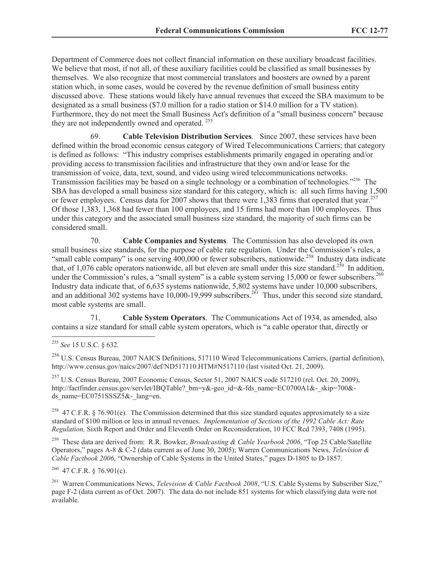Department of Commerce does not collect financial information on these auxiliary broadcast facilities. We believe that most, if not all, of these auxiliary facilities could be classified as small businesses by themselves. We also recognize that most commercial translators and boosters are owned by a parent station which, in some cases, would be covered by the revenue definition of small business entity discussed above. These stations would likely have annual revenues that exceed the SBA maximum to be designated as a small business (\$7.0 million for a radio station or \$14.0 million for a TV station). Furthermore, they do not meet the Small Business Act's definition of a "small business concern" because they are not independently owned and operated.<sup>255</sup>

69. **Cable Television Distribution Services***.* Since 2007, these services have been defined within the broad economic census category of Wired Telecommunications Carriers; that category is defined as follows: "This industry comprises establishments primarily engaged in operating and/or providing access to transmission facilities and infrastructure that they own and/or lease for the transmission of voice, data, text, sound, and video using wired telecommunications networks. Transmission facilities may be based on a single technology or a combination of technologies."<sup>256</sup> The SBA has developed a small business size standard for this category, which is: all such firms having 1,500 or fewer employees. Census data for 2007 shows that there were 1,383 firms that operated that year.<sup>257</sup> Of those 1,383, 1,368 had fewer than 100 employees, and 15 firms had more than 100 employees. Thus under this category and the associated small business size standard, the majority of such firms can be considered small.

70. **Cable Companies and Systems***.* The Commission has also developed its own small business size standards, for the purpose of cable rate regulation. Under the Commission's rules, a "small cable company" is one serving  $400,000$  or fewer subscribers, nationwide.<sup>258</sup> Industry data indicate that, of 1,076 cable operators nationwide, all but eleven are small under this size standard.<sup>259</sup> In addition, under the Commission's rules, a "small system" is a cable system serving 15,000 or fewer subscribers.<sup>260</sup> Industry data indicate that, of 6,635 systems nationwide, 5,802 systems have under 10,000 subscribers, and an additional 302 systems have  $10,000-19,999$  subscribers.<sup>261</sup> Thus, under this second size standard, most cable systems are small.

71. **Cable System Operators**.The Communications Act of 1934, as amended, also contains a size standard for small cable system operators, which is "a cable operator that, directly or

 $^{257}$  U.S. Census Bureau, 2007 Economic Census, Sector 51, 2007 NAICS code 517210 (rel. Oct. 20, 2009), http://factfinder.census.gov/servlet/IBQTable? bm=y&-geo\_id=&-fds\_name=EC0700A1&-\_skip=700&ds\_name=EC0751SSSZ5&-\_lang=en.

<sup>258</sup> 47 C.F.R. § 76.901(e). The Commission determined that this size standard equates approximately to a size standard of \$100 million or less in annual revenues. *Implementation of Sections of the 1992 Cable Act: Rate Regulation,* Sixth Report and Order and Eleventh Order on Reconsideration, 10 FCC Rcd 7393, 7408 (1995).

259 These data are derived from: R.R. Bowker, *Broadcasting & Cable Yearbook 2006*, "Top 25 Cable/Satellite Operators," pages A-8 & C-2 (data current as of June 30, 2005); Warren Communications News, *Television & Cable Factbook 2006*, "Ownership of Cable Systems in the United States," pages D-1805 to D-1857.

 $^{260}$  47 C.F.R. § 76.901(c).

261 Warren Communications News, *Television & Cable Factbook 2008*, "U.S. Cable Systems by Subscriber Size," page F-2 (data current as of Oct. 2007). The data do not include 851 systems for which classifying data were not available.

 $\overline{a}$ <sup>255</sup> *See* 15 U.S.C. § 632.

<sup>256</sup> U.S. Census Bureau, 2007 NAICS Definitions, 517110 Wired Telecommunications Carriers, (partial definition), http://www.census.gov/naics/2007/def/ND517110.HTM#N517110 (last visited Oct. 21, 2009).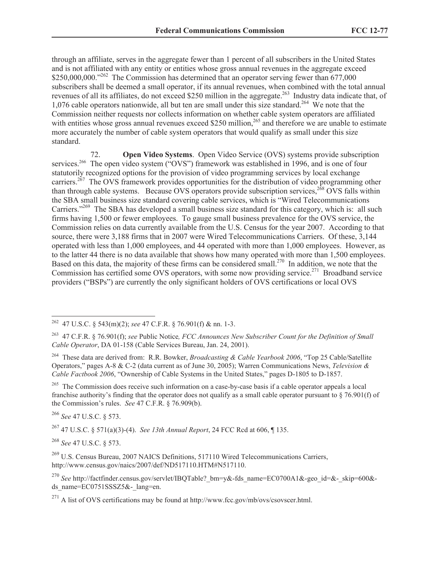through an affiliate, serves in the aggregate fewer than 1 percent of all subscribers in the United States and is not affiliated with any entity or entities whose gross annual revenues in the aggregate exceed \$250,000,000."<sup>262</sup> The Commission has determined that an operator serving fewer than 677,000 subscribers shall be deemed a small operator, if its annual revenues, when combined with the total annual revenues of all its affiliates, do not exceed \$250 million in the aggregate.<sup>263</sup> Industry data indicate that, of 1,076 cable operators nationwide, all but ten are small under this size standard.<sup>264</sup> We note that the Commission neither requests nor collects information on whether cable system operators are affiliated with entities whose gross annual revenues exceed \$250 million,<sup>265</sup> and therefore we are unable to estimate more accurately the number of cable system operators that would qualify as small under this size standard.

72. **Open Video Systems**. Open Video Service (OVS) systems provide subscription services.<sup>266</sup> The open video system ("OVS") framework was established in 1996, and is one of four statutorily recognized options for the provision of video programming services by local exchange carriers.<sup>267</sup> The OVS framework provides opportunities for the distribution of video programming other than through cable systems. Because OVS operators provide subscription services,  $2^{68}$  OVS falls within the SBA small business size standard covering cable services, which is "Wired Telecommunications Carriers."<sup>269</sup> The SBA has developed a small business size standard for this category, which is: all such firms having 1,500 or fewer employees. To gauge small business prevalence for the OVS service, the Commission relies on data currently available from the U.S. Census for the year 2007. According to that source, there were 3,188 firms that in 2007 were Wired Telecommunications Carriers. Of these, 3,144 operated with less than 1,000 employees, and 44 operated with more than 1,000 employees. However, as to the latter 44 there is no data available that shows how many operated with more than 1,500 employees. Based on this data, the majority of these firms can be considered small.<sup>270</sup> In addition, we note that the Commission has certified some OVS operators, with some now providing service.<sup>271</sup> Broadband service providers ("BSPs") are currently the only significant holders of OVS certifications or local OVS

<sup>265</sup> The Commission does receive such information on a case-by-case basis if a cable operator appeals a local franchise authority's finding that the operator does not qualify as a small cable operator pursuant to § 76.901(f) of the Commission's rules. *See* 47 C.F.R. § 76.909(b).

<sup>266</sup> *See* 47 U.S.C. § 573.

 $\overline{a}$ 

<sup>267</sup> 47 U.S.C. § 571(a)(3)-(4). *See 13th Annual Report*, 24 FCC Rcd at 606, ¶ 135.

<sup>268</sup> *See* 47 U.S.C. § 573.

<sup>269</sup> U.S. Census Bureau, 2007 NAICS Definitions, 517110 Wired Telecommunications Carriers, http://www.census.gov/naics/2007/def/ND517110.HTM#N517110.

<sup>270</sup> See http://factfinder.census.gov/servlet/IBQTable? bm=y&-fds\_name=EC0700A1&-geo\_id=&-\_skip=600&ds\_name=EC0751SSSZ5&-\_lang=en.

<sup>262</sup> 47 U.S.C. § 543(m)(2); *see* 47 C.F.R. § 76.901(f) & nn. 1-3.

<sup>263</sup> 47 C.F.R. § 76.901(f); *see* Public Notice*, FCC Announces New Subscriber Count for the Definition of Small Cable Operator*, DA 01-158 (Cable Services Bureau, Jan. 24, 2001).

<sup>264</sup> These data are derived from: R.R. Bowker, *Broadcasting & Cable Yearbook 2006*, "Top 25 Cable/Satellite Operators," pages A-8 & C-2 (data current as of June 30, 2005); Warren Communications News, *Television & Cable Factbook 2006*, "Ownership of Cable Systems in the United States," pages D-1805 to D-1857.

 $^{271}$  A list of OVS certifications may be found at http://www.fcc.gov/mb/ovs/csovscer.html.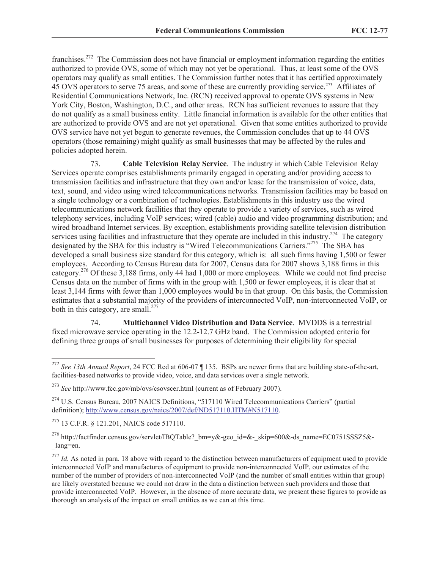franchises.<sup>272</sup> The Commission does not have financial or employment information regarding the entities authorized to provide OVS, some of which may not yet be operational. Thus, at least some of the OVS operators may qualify as small entities. The Commission further notes that it has certified approximately 45 OVS operators to serve 75 areas, and some of these are currently providing service.<sup>273</sup> Affiliates of Residential Communications Network, Inc. (RCN) received approval to operate OVS systems in New York City, Boston, Washington, D.C., and other areas. RCN has sufficient revenues to assure that they do not qualify as a small business entity. Little financial information is available for the other entities that are authorized to provide OVS and are not yet operational. Given that some entities authorized to provide OVS service have not yet begun to generate revenues, the Commission concludes that up to 44 OVS operators (those remaining) might qualify as small businesses that may be affected by the rules and policies adopted herein.

73. **Cable Television Relay Service**. The industry in which Cable Television Relay Services operate comprises establishments primarily engaged in operating and/or providing access to transmission facilities and infrastructure that they own and/or lease for the transmission of voice, data, text, sound, and video using wired telecommunications networks. Transmission facilities may be based on a single technology or a combination of technologies. Establishments in this industry use the wired telecommunications network facilities that they operate to provide a variety of services, such as wired telephony services, including VoIP services; wired (cable) audio and video programming distribution; and wired broadband Internet services. By exception, establishments providing satellite television distribution services using facilities and infrastructure that they operate are included in this industry.<sup>274</sup> The category designated by the SBA for this industry is "Wired Telecommunications Carriers."<sup>275</sup> The SBA has developed a small business size standard for this category, which is: all such firms having 1,500 or fewer employees. According to Census Bureau data for 2007, Census data for 2007 shows 3,188 firms in this category.<sup>276</sup> Of these 3,188 firms, only 44 had 1,000 or more employees. While we could not find precise Census data on the number of firms with in the group with 1,500 or fewer employees, it is clear that at least 3,144 firms with fewer than 1,000 employees would be in that group. On this basis, the Commission estimates that a substantial majority of the providers of interconnected VoIP, non-interconnected VoIP, or both in this category, are small.<sup>277</sup>

74. **Multichannel Video Distribution and Data Service**. MVDDS is a terrestrial fixed microwave service operating in the 12.2-12.7 GHz band. The Commission adopted criteria for defining three groups of small businesses for purposes of determining their eligibility for special

<sup>275</sup> 13 C.F.R. § 121.201, NAICS code 517110.

 $\overline{a}$ 

<sup>276</sup> http://factfinder.census.gov/servlet/IBQTable? bm=y&-geo\_id=&-\_skip=600&-ds\_name=EC0751SSSZ5&-\_lang=en.

<sup>272</sup> *See 13th Annual Report*, 24 FCC Rcd at 606-07 ¶ 135. BSPs are newer firms that are building state-of-the-art, facilities-based networks to provide video, voice, and data services over a single network.

<sup>273</sup> *See* http://www.fcc.gov/mb/ovs/csovscer.html (current as of February 2007).

<sup>274</sup> U.S. Census Bureau, 2007 NAICS Definitions, "517110 Wired Telecommunications Carriers" (partial definition); http://www.census.gov/naics/2007/def/ND517110.HTM#N517110.

<sup>&</sup>lt;sup>277</sup> *Id.* As noted in para. 18 above with regard to the distinction between manufacturers of equipment used to provide interconnected VoIP and manufactures of equipment to provide non-interconnected VoIP, our estimates of the number of the number of providers of non-interconnected VoIP (and the number of small entities within that group) are likely overstated because we could not draw in the data a distinction between such providers and those that provide interconnected VoIP. However, in the absence of more accurate data, we present these figures to provide as thorough an analysis of the impact on small entities as we can at this time.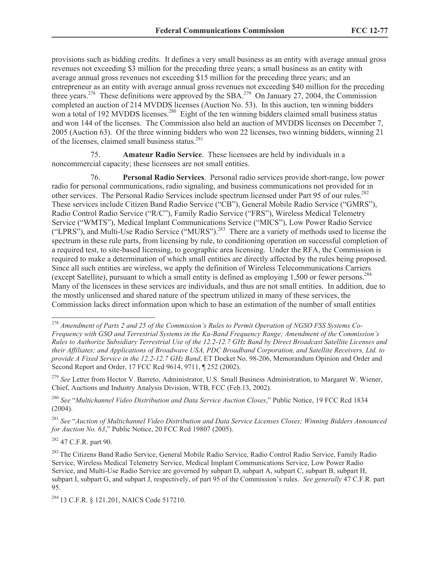provisions such as bidding credits. It defines a very small business as an entity with average annual gross revenues not exceeding \$3 million for the preceding three years; a small business as an entity with average annual gross revenues not exceeding \$15 million for the preceding three years; and an entrepreneur as an entity with average annual gross revenues not exceeding \$40 million for the preceding three years.<sup>278</sup> These definitions were approved by the SBA.<sup>279</sup> On January 27, 2004, the Commission completed an auction of 214 MVDDS licenses (Auction No. 53). In this auction, ten winning bidders won a total of 192 MVDDS licenses.<sup>280</sup> Eight of the ten winning bidders claimed small business status and won 144 of the licenses. The Commission also held an auction of MVDDS licenses on December 7, 2005 (Auction 63). Of the three winning bidders who won 22 licenses, two winning bidders, winning 21 of the licenses, claimed small business status. $281$ 

75. **Amateur Radio Service**. These licensees are held by individuals in a noncommercial capacity; these licensees are not small entities.

76. **Personal Radio Services**. Personal radio services provide short-range, low power radio for personal communications, radio signaling, and business communications not provided for in other services. The Personal Radio Services include spectrum licensed under Part 95 of our rules.<sup>282</sup> These services include Citizen Band Radio Service ("CB"), General Mobile Radio Service ("GMRS"), Radio Control Radio Service ("R/C"), Family Radio Service ("FRS"), Wireless Medical Telemetry Service ("WMTS"), Medical Implant Communications Service ("MICS"), Low Power Radio Service ("LPRS"), and Multi-Use Radio Service ("MURS").<sup>283</sup> There are a variety of methods used to license the spectrum in these rule parts, from licensing by rule, to conditioning operation on successful completion of a required test, to site-based licensing, to geographic area licensing. Under the RFA, the Commission is required to make a determination of which small entities are directly affected by the rules being proposed. Since all such entities are wireless, we apply the definition of Wireless Telecommunications Carriers (except Satellite), pursuant to which a small entity is defined as employing 1,500 or fewer persons.<sup>284</sup> Many of the licensees in these services are individuals, and thus are not small entities. In addition, due to the mostly unlicensed and shared nature of the spectrum utilized in many of these services, the Commission lacks direct information upon which to base an estimation of the number of small entities

<sup>280</sup> *See* "*Multichannel Video Distribution and Data Service Auction Closes*," Public Notice, 19 FCC Rcd 1834 (2004).

 $282$  47 C.F.R. part 90.

<sup>278</sup> *Amendment of Parts 2 and 25 of the Commission's Rules to Permit Operation of NGSO FSS Systems Co-Frequency with GSO and Terrestrial Systems in the Ku-Band Frequency Range; Amendment of the Commission's Rules to Authorize Subsidiary Terrestrial Use of the 12.2-12.7 GHz Band by Direct Broadcast Satellite Licenses and their Affiliates; and Applications of Broadwave USA, PDC Broadband Corporation, and Satellite Receivers, Ltd. to provide A Fixed Service in the 12.2-12.7 GHz Band*, ET Docket No. 98-206, Memorandum Opinion and Order and Second Report and Order, 17 FCC Rcd 9614, 9711, ¶ 252 (2002).

<sup>279</sup> *See* Letter from Hector V. Barreto, Administrator, U.S. Small Business Administration, to Margaret W. Wiener, Chief, Auctions and Industry Analysis Division, WTB, FCC (Feb.13, 2002).

<sup>281</sup> *See* "*Auction of Multichannel Video Distribution and Data Service Licenses Closes; Winning Bidders Announced for Auction No. 63*," Public Notice, 20 FCC Rcd 19807 (2005).

<sup>283</sup> The Citizens Band Radio Service, General Mobile Radio Service, Radio Control Radio Service, Family Radio Service, Wireless Medical Telemetry Service, Medical Implant Communications Service, Low Power Radio Service, and Multi-Use Radio Service are governed by subpart D, subpart A, subpart C, subpart B, subpart H, subpart I, subpart G, and subpart J, respectively, of part 95 of the Commission's rules. *See generally* 47 C.F.R. part 95.

<sup>284</sup> 13 C.F.R. § 121.201, NAICS Code 517210.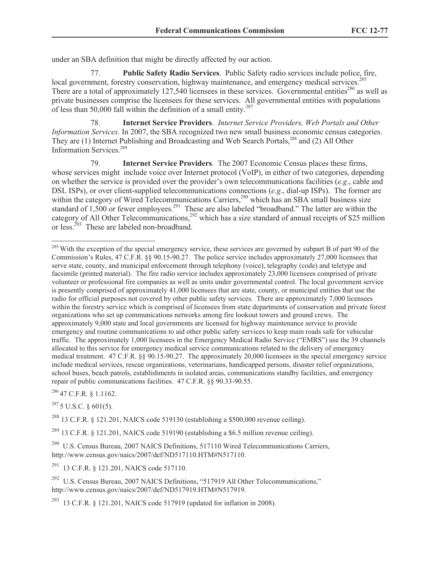under an SBA definition that might be directly affected by our action.

77. **Public Safety Radio Services**. Public Safety radio services include police, fire, local government, forestry conservation, highway maintenance, and emergency medical services.<sup>285</sup> There are a total of approximately 127,540 licensees in these services. Governmental entities<sup>286</sup> as well as private businesses comprise the licensees for these services. All governmental entities with populations of less than 50,000 fall within the definition of a small entity.<sup>287</sup>

78. **Internet Service Providers**. *Internet Service Providers, Web Portals and Other Information Services*. In 2007, the SBA recognized two new small business economic census categories. They are (1) Internet Publishing and Broadcasting and Web Search Portals,<sup>288</sup> and (2) All Other Information Services.<sup>289</sup>

79. **Internet Service Providers***.*The 2007 Economic Census places these firms, whose services might include voice over Internet protocol (VoIP), in either of two categories, depending on whether the service is provided over the provider's own telecommunications facilities (*e.g*., cable and DSL ISPs), or over client-supplied telecommunications connections (*e.g*., dial-up ISPs). The former are within the category of Wired Telecommunications Carriers,<sup>290</sup> which has an SBA small business size standard of 1,500 or fewer employees.<sup>291</sup> These are also labeled "broadband." The latter are within the category of All Other Telecommunications,  $292$  which has a size standard of annual receipts of \$25 million or less. $^{293}$  These are labeled non-broadband.

<sup>286</sup> 47 C.F.R. § 1.1162.

 $\overline{a}$ 

<sup>287</sup> 5 U.S.C. § 601(5).

<sup>288</sup> 13 C.F.R. § 121.201, NAICS code 519130 (establishing a \$500,000 revenue ceiling).

<sup>289</sup> 13 C.F.R. § 121.201, NAICS code 519190 (establishing a \$6.5 million revenue ceiling).

<sup>290</sup> U.S. Census Bureau, 2007 NAICS Definitions, 517110 Wired Telecommunications Carriers, http://www.census.gov/naics/2007/def/ND517110.HTM#N517110.

 $^{291}$  13 C.F.R. § 121.201, NAICS code 517110.

<sup>292</sup> U.S. Census Bureau, 2007 NAICS Definitions, "517919 All Other Telecommunications," http://www.census.gov/naics/2007/def/ND517919.HTM#N517919.

 $^{293}$  13 C.F.R. § 121.201, NAICS code 517919 (updated for inflation in 2008).

<sup>&</sup>lt;sup>285</sup> With the exception of the special emergency service, these services are governed by subpart B of part 90 of the Commission's Rules, 47 C.F.R. §§ 90.15-90.27. The police service includes approximately 27,000 licensees that serve state, county, and municipal enforcement through telephony (voice), telegraphy (code) and teletype and facsimile (printed material). The fire radio service includes approximately 23,000 licensees comprised of private volunteer or professional fire companies as well as units under governmental control. The local government service is presently comprised of approximately 41,000 licensees that are state, county, or municipal entities that use the radio for official purposes not covered by other public safety services. There are approximately 7,000 licensees within the forestry service which is comprised of licensees from state departments of conservation and private forest organizations who set up communications networks among fire lookout towers and ground crews. The approximately 9,000 state and local governments are licensed for highway maintenance service to provide emergency and routine communications to aid other public safety services to keep main roads safe for vehicular traffic. The approximately 1,000 licensees in the Emergency Medical Radio Service ("EMRS") use the 39 channels allocated to this service for emergency medical service communications related to the delivery of emergency medical treatment. 47 C.F.R. §§ 90.15-90.27. The approximately 20,000 licensees in the special emergency service include medical services, rescue organizations, veterinarians, handicapped persons, disaster relief organizations, school buses, beach patrols, establishments in isolated areas, communications standby facilities, and emergency repair of public communications facilities. 47 C.F.R. §§ 90.33-90.55.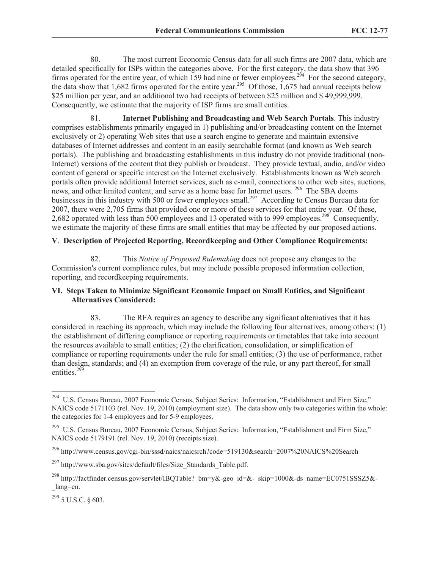80. The most current Economic Census data for all such firms are 2007 data, which are detailed specifically for ISPs within the categories above. For the first category, the data show that 396 firms operated for the entire year, of which 159 had nine or fewer employees.<sup>294</sup> For the second category, the data show that 1,682 firms operated for the entire year.<sup>295</sup> Of those, 1,675 had annual receipts below \$25 million per year, and an additional two had receipts of between \$25 million and \$ 49,999,999. Consequently, we estimate that the majority of ISP firms are small entities.

81. **Internet Publishing and Broadcasting and Web Search Portals**. This industry comprises establishments primarily engaged in 1) publishing and/or broadcasting content on the Internet exclusively or 2) operating Web sites that use a search engine to generate and maintain extensive databases of Internet addresses and content in an easily searchable format (and known as Web search portals). The publishing and broadcasting establishments in this industry do not provide traditional (non-Internet) versions of the content that they publish or broadcast. They provide textual, audio, and/or video content of general or specific interest on the Internet exclusively. Establishments known as Web search portals often provide additional Internet services, such as e-mail, connections to other web sites, auctions, news, and other limited content, and serve as a home base for Internet users. <sup>296</sup> The SBA deems businesses in this industry with 500 or fewer employees small.<sup>297</sup> According to Census Bureau data for 2007, there were 2,705 firms that provided one or more of these services for that entire year. Of these, 2,682 operated with less than 500 employees and 13 operated with to 999 employees.<sup>298</sup> Consequently, we estimate the majority of these firms are small entities that may be affected by our proposed actions.

## **V**. **Description of Projected Reporting, Recordkeeping and Other Compliance Requirements:**

82. This *Notice of Proposed Rulemaking* does not propose any changes to the Commission's current compliance rules, but may include possible proposed information collection, reporting, and recordkeeping requirements.

## **VI. Steps Taken to Minimize Significant Economic Impact on Small Entities, and Significant Alternatives Considered:**

83. The RFA requires an agency to describe any significant alternatives that it has considered in reaching its approach, which may include the following four alternatives, among others: (1) the establishment of differing compliance or reporting requirements or timetables that take into account the resources available to small entities; (2) the clarification, consolidation, or simplification of compliance or reporting requirements under the rule for small entities; (3) the use of performance, rather than design, standards; and (4) an exemption from coverage of the rule, or any part thereof, for small entities. $29\frac{99}{2}$ 

<sup>294</sup>  U.S. Census Bureau, 2007 Economic Census, Subject Series: Information, "Establishment and Firm Size," NAICS code 5171103 (rel. Nov. 19, 2010) (employment size). The data show only two categories within the whole: the categories for 1-4 employees and for 5-9 employees.

<sup>&</sup>lt;sup>295</sup> U.S. Census Bureau, 2007 Economic Census, Subject Series: Information, "Establishment and Firm Size," NAICS code 5179191 (rel. Nov. 19, 2010) (receipts size).

<sup>296</sup> http://www.census.gov/cgi-bin/sssd/naics/naicsrch?code=519130&search=2007%20NAICS%20Search

 $^{297}$  http://www.sba.gov/sites/default/files/Size\_Standards\_Table.pdf.

<sup>298</sup> http://factfinder.census.gov/servlet/IBQTable?\_bm=y&-geo\_id=&-\_skip=1000&-ds\_name=EC0751SSSZ5&- \_lang=en.

 $^{299}$  5 U.S.C. § 603.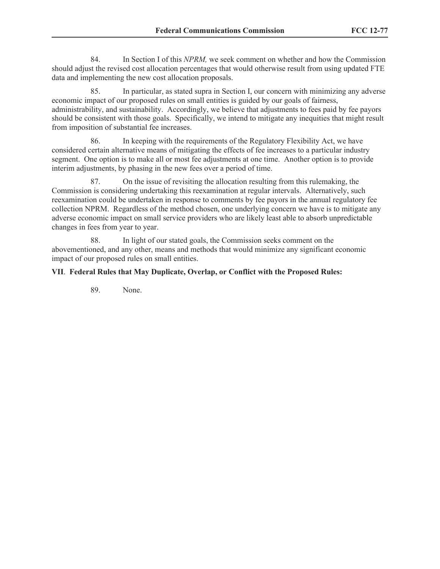84. In Section I of this *NPRM,* we seek comment on whether and how the Commission should adjust the revised cost allocation percentages that would otherwise result from using updated FTE data and implementing the new cost allocation proposals.

85. In particular, as stated supra in Section I, our concern with minimizing any adverse economic impact of our proposed rules on small entities is guided by our goals of fairness, administrability, and sustainability. Accordingly, we believe that adjustments to fees paid by fee payors should be consistent with those goals. Specifically, we intend to mitigate any inequities that might result from imposition of substantial fee increases.

86. In keeping with the requirements of the Regulatory Flexibility Act, we have considered certain alternative means of mitigating the effects of fee increases to a particular industry segment. One option is to make all or most fee adjustments at one time. Another option is to provide interim adjustments, by phasing in the new fees over a period of time.

87. On the issue of revisiting the allocation resulting from this rulemaking, the Commission is considering undertaking this reexamination at regular intervals. Alternatively, such reexamination could be undertaken in response to comments by fee payors in the annual regulatory fee collection NPRM. Regardless of the method chosen, one underlying concern we have is to mitigate any adverse economic impact on small service providers who are likely least able to absorb unpredictable changes in fees from year to year.

88. In light of our stated goals, the Commission seeks comment on the abovementioned, and any other, means and methods that would minimize any significant economic impact of our proposed rules on small entities.

## **VII**. **Federal Rules that May Duplicate, Overlap, or Conflict with the Proposed Rules:**

89. None.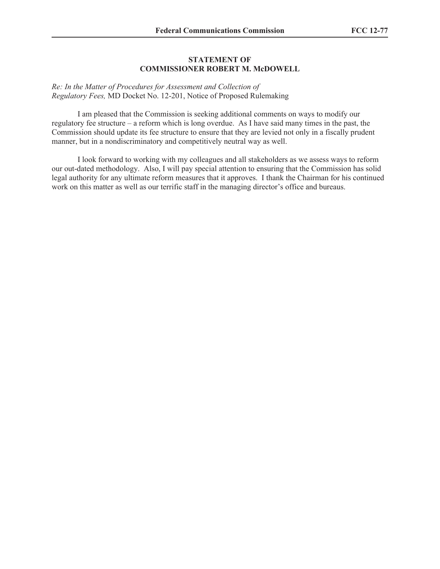### **STATEMENT OF COMMISSIONER ROBERT M. McDOWELL**

*Re: In the Matter of Procedures for Assessment and Collection of Regulatory Fees,* MD Docket No. 12-201, Notice of Proposed Rulemaking

I am pleased that the Commission is seeking additional comments on ways to modify our regulatory fee structure – a reform which is long overdue. As I have said many times in the past, the Commission should update its fee structure to ensure that they are levied not only in a fiscally prudent manner, but in a nondiscriminatory and competitively neutral way as well.

I look forward to working with my colleagues and all stakeholders as we assess ways to reform our out-dated methodology. Also, I will pay special attention to ensuring that the Commission has solid legal authority for any ultimate reform measures that it approves. I thank the Chairman for his continued work on this matter as well as our terrific staff in the managing director's office and bureaus.